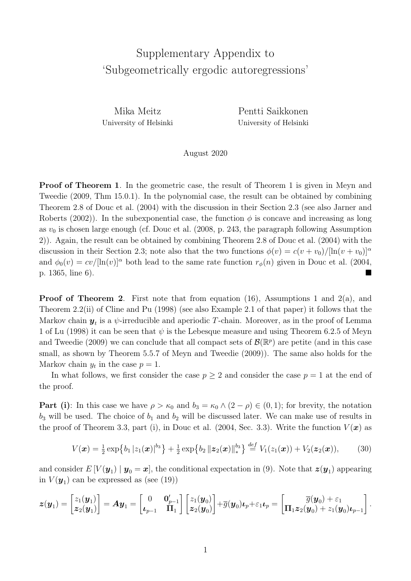## Supplementary Appendix to 'Subgeometrically ergodic autoregressions'

Mika Meitz University of Helsinki Pentti Saikkonen University of Helsinki

## August 2020

Proof of Theorem 1. In the geometric case, the result of Theorem 1 is given in Meyn and Tweedie (2009, Thm 15.0.1). In the polynomial case, the result can be obtained by combining Theorem 2.8 of Douc et al. (2004) with the discussion in their Section 2.3 (see also Jarner and Roberts (2002)). In the subexponential case, the function  $\phi$  is concave and increasing as long as  $v_0$  is chosen large enough (cf. Douc et al.  $(2008, p. 243,$  the paragraph following Assumption 2)). Again, the result can be obtained by combining Theorem 2.8 of Douc et al. (2004) with the discussion in their Section 2.3; note also that the two functions  $\phi(v) = c(v + v_0)/[\ln(v + v_0)]^{\alpha}$ and  $\phi_0(v) = cv/[\ln(v)]^{\alpha}$  both lead to the same rate function  $r_{\phi}(n)$  given in Douc et al. (2004, p.  $1365$ , line 6).

**Proof of Theorem 2.** First note that from equation (16), Assumptions 1 and 2(a), and Theorem 2.2(ii) of Cline and Pu (1998) (see also Example 2.1 of that paper) it follows that the Markov chain  $y_t$  is a  $\psi$ -irreducible and aperiodic T-chain. Moreover, as in the proof of Lemma 1 of Lu (1998) it can be seen that  $\psi$  is the Lebesque measure and using Theorem 6.2.5 of Meyn and Tweedie (2009) we can conclude that all compact sets of  $\mathcal{B}(\mathbb{R}^p)$  are petite (and in this case small, as shown by Theorem 5.5.7 of Meyn and Tweedie (2009)). The same also holds for the Markov chain  $y_t$  in the case  $p = 1$ .

In what follows, we first consider the case  $p \geq 2$  and consider the case  $p = 1$  at the end of the proof.

**Part (i):** In this case we have  $\rho > \kappa_0$  and  $b_3 = \kappa_0 \wedge (2 - \rho) \in (0, 1)$ ; for brevity, the notation  $b_3$  will be used. The choice of  $b_1$  and  $b_2$  will be discussed later. We can make use of results in the proof of Theorem 3.3, part (i), in Douc et al. (2004, Sec. 3.3). Write the function  $V(\boldsymbol{x})$  as

$$
V(\boldsymbol{x}) = \frac{1}{2} \exp \{b_1 |z_1(\boldsymbol{x})|^{b_3}\} + \frac{1}{2} \exp \{b_2 ||\boldsymbol{z}_2(\boldsymbol{x})||_*^{b_3}\} \stackrel{def}{=} V_1(z_1(\boldsymbol{x})) + V_2(\boldsymbol{z}_2(\boldsymbol{x})), \quad (30)
$$

and consider  $E[V(\mathbf{y}_1) | \mathbf{y}_0 = \mathbf{x}]$ , the conditional expectation in (9). Note that  $\mathbf{z}(\mathbf{y}_1)$  appearing in  $V(\mathbf{y}_1)$  can be expressed as (see (19))

$$
\boldsymbol{z}(\boldsymbol{y}_1) = \begin{bmatrix} z_1(\boldsymbol{y}_1) \\ \boldsymbol{z}_2(\boldsymbol{y}_1) \end{bmatrix} = \boldsymbol{A}\boldsymbol{y}_1 = \begin{bmatrix} 0 & \boldsymbol{0}_{p-1}' \\ \boldsymbol{\iota}_{p-1} & \boldsymbol{\Pi}_1 \end{bmatrix} \begin{bmatrix} z_1(\boldsymbol{y}_0) \\ \boldsymbol{z}_2(\boldsymbol{y}_0) \end{bmatrix} + \overline{g}(\boldsymbol{y}_0)\boldsymbol{\iota}_p + \varepsilon_1\boldsymbol{\iota}_p = \begin{bmatrix} \overline{g}(\boldsymbol{y}_0) + \varepsilon_1 \\ \boldsymbol{\Pi}_1 \boldsymbol{z}_2(\boldsymbol{y}_0) + z_1(\boldsymbol{y}_0)\boldsymbol{\iota}_{p-1} \end{bmatrix}.
$$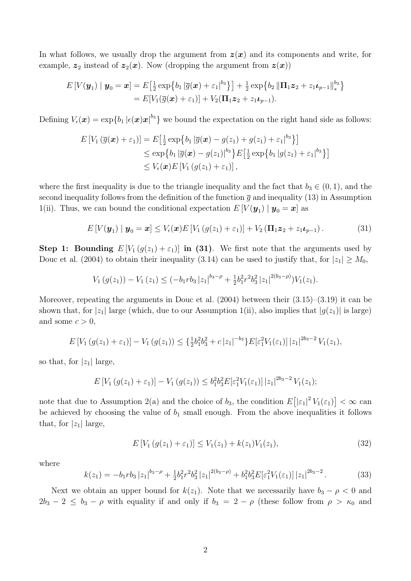In what follows, we usually drop the argument from  $z(x)$  and its components and write, for example,  $z_2$  instead of  $z_2(x)$ . Now (dropping the argument from  $z(x)$ )

$$
E[V(\boldsymbol{y}_1) | \boldsymbol{y}_0 = \boldsymbol{x}] = E\big[\frac{1}{2} \exp\big\{b_1 |\overline{g}(\boldsymbol{x}) + \varepsilon_1|^{b_3}\big\}\big] + \frac{1}{2} \exp\big\{b_2 \|\Pi_1 \boldsymbol{z}_2 + z_1 \boldsymbol{\iota}_{p-1}\|_{*}^{b_3}\big\}
$$
  
= 
$$
E[V_1(\overline{g}(\boldsymbol{x}) + \varepsilon_1)] + V_2(\Pi_1 \boldsymbol{z}_2 + z_1 \boldsymbol{\iota}_{p-1}).
$$

Defining  $V_{\epsilon}(\boldsymbol{x}) = \exp\{b_1 |\epsilon(\boldsymbol{x})\boldsymbol{x}|^{b_3}\}$  we bound the expectation on the right hand side as follows:

$$
E[V_1(\overline{g}(\boldsymbol{x}) + \varepsilon_1)] = E\big[\frac{1}{2}\exp\big\{b_1|\overline{g}(\boldsymbol{x}) - g(z_1) + g(z_1) + \varepsilon_1|^{b_3}\big\}\big] \\
\leq \exp\big\{b_1|\overline{g}(\boldsymbol{x}) - g(z_1)|^{b_3}\big\}E\big[\frac{1}{2}\exp\big\{b_1|g(z_1) + \varepsilon_1|^{b_3}\big\}\big] \\
\leq V_{\epsilon}(\boldsymbol{x})E[V_1(g(z_1) + \varepsilon_1)],
$$

where the first inequality is due to the triangle inequality and the fact that  $b_3 \in (0,1)$ , and the second inequality follows from the definition of the function  $\bar{g}$  and inequality (13) in Assumption 1(ii). Thus, we can bound the conditional expectation  $E[V(\mathbf{y}_1) | \mathbf{y}_0 = \mathbf{x}]$  as

$$
E[V(\boldsymbol{y}_1) | \boldsymbol{y}_0 = \boldsymbol{x}] \le V_{\epsilon}(\boldsymbol{x}) E[V_1(g(z_1) + \varepsilon_1)] + V_2(\boldsymbol{\Pi}_1 \boldsymbol{z}_2 + z_1 \boldsymbol{\iota}_{p-1}). \tag{31}
$$

**Step 1: Bounding**  $E[V_1(g(z_1)+\varepsilon_1)]$  in (31). We first note that the arguments used by Douc et al. (2004) to obtain their inequality (3.14) can be used to justify that, for  $|z_1| \geq M_0$ ,

$$
V_1(g(z_1)) - V_1(z_1) \leq (-b_1rb_3|z_1|^{b_3-\rho} + \frac{1}{2}b_1^2r^2b_3^2|z_1|^{2(b_3-\rho)}\big)V_1(z_1).
$$

Moreover, repeating the arguments in Douc et al.  $(2004)$  between their  $(3.15)$ – $(3.19)$  it can be shown that, for  $|z_1|$  large (which, due to our Assumption 1(ii), also implies that  $|g(z_1)|$  is large) and some  $c > 0$ ,

$$
E[V_1(g(z_1)+\varepsilon_1)]-V_1(g(z_1)) \leq {\frac{1}{2}b_1^2b_3^2+c |z_1|^{-b_3}} E[\varepsilon_1^2V_1(\varepsilon_1)] |z_1|^{2b_3-2}V_1(z_1),
$$

so that, for  $|z_1|$  large,

$$
E[V_1(g(z_1)+\varepsilon_1)]-V_1(g(z_1)) \leq b_1^2 b_3^2 E[\varepsilon_1^2 V_1(\varepsilon_1)] |z_1|^{2b_3-2} V_1(z_1);
$$

note that due to Assumption 2(a) and the choice of *b*<sub>3</sub>, the condition  $E[|\varepsilon_1|^2 V_1(\varepsilon_1)] < \infty$  can be achieved by choosing the value of  $b_1$  small enough. From the above inequalities it follows that, for  $|z_1|$  large,

$$
E[V_1(g(z_1) + \varepsilon_1)] \le V_1(z_1) + k(z_1)V_1(z_1), \tag{32}
$$

where

$$
k(z_1) = -b_1 r b_3 |z_1|^{b_3-\rho} + \frac{1}{2} b_1^2 r^2 b_3^2 |z_1|^{2(b_3-\rho)} + b_1^2 b_3^2 E[\varepsilon_1^2 V_1(\varepsilon_1)] |z_1|^{2b_3-2}.
$$
 (33)

Next we obtain an upper bound for  $k(z_1)$ . Note that we necessarily have  $b_3 - \rho < 0$  and  $2b_3 - 2 \le b_3 - \rho$  with equality if and only if  $b_3 = 2 - \rho$  (these follow from  $\rho > \kappa_0$  and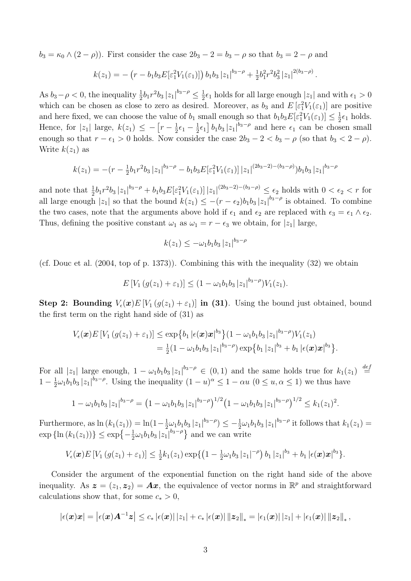$b_3 = \kappa_0 \wedge (2 - \rho)$ ). First consider the case  $2b_3 - 2 = b_3 - \rho$  so that  $b_3 = 2 - \rho$  and

$$
k(z_1) = -\left(r - b_1b_3E[\varepsilon_1^2V_1(\varepsilon_1)]\right)b_1b_3|z_1|^{b_3-\rho} + \frac{1}{2}b_1^2r^2b_3^2|z_1|^{2(b_3-\rho)}.
$$

As  $b_3 - \rho < 0$ , the inequality  $\frac{1}{2}b_1r^2b_3 |z_1|^{b_3-\rho} \le \frac{1}{2}\epsilon_1$  holds for all large enough  $|z_1|$  and with  $\epsilon_1 > 0$ which can be chosen as close to zero as desired. Moreover, as  $b_3$  and  $E\left[\varepsilon_1^2 V_1(\varepsilon_1)\right]$  are positive and here fixed, we can choose the value of  $b_1$  small enough so that  $b_1b_3E[\varepsilon_1^2V_1(\varepsilon_1)] \leq \frac{1}{2}\epsilon_1$  holds. Hence, for  $|z_1|$  large,  $k(z_1) \leq -\left[r-\frac{1}{2}\epsilon_1-\frac{1}{2}\epsilon_1\right]b_1b_3|z_1|^{b_3-\rho}$  and here  $\epsilon_1$  can be chosen small enough so that  $r - \epsilon_1 > 0$  holds. Now consider the case  $2b_3 - 2 < b_3 - \rho$  (so that  $b_3 < 2 - \rho$ ). Write  $k(z_1)$  as

$$
k(z_1) = -(r - \frac{1}{2}b_1r^2b_3|z_1|^{b_3-\rho} - b_1b_3E[\varepsilon_1^2V_1(\varepsilon_1)]|z_1|^{(2b_3-2)-(b_3-\rho)})b_1b_3|z_1|^{b_3-\rho}
$$

and note that  $\frac{1}{2}b_1r^2b_3|z_1|^{b_3-\rho}+b_1b_3E[\varepsilon_1^2V_1(\varepsilon_1)]|z_1|^{(2b_3-2)-(b_3-\rho)} \leq \varepsilon_2$  holds with  $0 < \varepsilon_2 < r$  for all large enough  $|z_1|$  so that the bound  $k(z_1) \leq -(r - \epsilon_2)b_1b_3 |z_1|^{b_3-\rho}$  is obtained. To combine the two cases, note that the arguments above hold if  $\epsilon_1$  and  $\epsilon_2$  are replaced with  $\epsilon_3 = \epsilon_1 \wedge \epsilon_2$ . Thus, defining the positive constant  $\omega_1$  as  $\omega_1 = r - \epsilon_3$  we obtain, for  $|z_1|$  large,

$$
k(z_1) \le -\omega_1 b_1 b_3 |z_1|^{b_3-\rho}
$$

(cf. Douc et al. (2004, top of p. 1373)). Combining this with the inequality (32) we obtain

$$
E[V_1(g(z_1)+\varepsilon_1)] \le (1-\omega_1b_1b_3|z_1|^{b_3-\rho})V_1(z_1).
$$

**Step 2: Bounding**  $V_{\epsilon}(x)E[V_1(g(z_1)+\epsilon_1)]$  in (31). Using the bound just obtained, bound the first term on the right hand side of (31) as

$$
V_{\epsilon}(\boldsymbol{x})E[V_1(g(z_1)+\varepsilon_1)] \leq \exp\{b_1|\epsilon(\boldsymbol{x})\boldsymbol{x}|^{b_3}\}(1-\omega_1b_1b_3|z_1|^{b_3-\rho})V_1(z_1) = \frac{1}{2}(1-\omega_1b_1b_3|z_1|^{b_3-\rho})\exp\{b_1|z_1|^{b_3}+b_1|\epsilon(\boldsymbol{x})\boldsymbol{x}|^{b_3}\}.
$$

For all  $|z_1|$  large enough,  $1 - \omega_1 b_1 b_3 |z_1|^{b_3-\rho} \in (0,1)$  and the same holds true for  $k_1(z_1) \stackrel{def}{=}$  $\stackrel{\scriptscriptstyle i\epsilon}{=}$  $1 - \frac{1}{2}\omega_1 b_1 b_3 |z_1|^{b_3-\rho}$ . Using the inequality  $(1-u)^{\alpha} \leq 1 - \alpha u$   $(0 \leq u, \alpha \leq 1)$  we thus have

$$
1 - \omega_1 b_1 b_3 |z_1|^{b_3-\rho} = \left(1 - \omega_1 b_1 b_3 |z_1|^{b_3-\rho}\right)^{1/2} \left(1 - \omega_1 b_1 b_3 |z_1|^{b_3-\rho}\right)^{1/2} \le k_1(z_1)^2.
$$

Furthermore, as  $\ln (k_1(z_1)) = \ln(1 - \frac{1}{2} \omega_1 b_1 b_3 |z_1|^{b_3-\rho}) \leq -\frac{1}{2} \omega_1 b_1 b_3 |z_1|^{b_3-\rho}$  it follows that  $k_1(z_1) =$  $\exp\{\ln(k_1(z_1))\} \leq \exp\{-\frac{1}{2}\omega_1 b_1 b_3 |z_1|^{b_3-\rho}\}$  and we can write

$$
V_{\epsilon}(\boldsymbol{x})E[V_1(g(z_1)+\varepsilon_1)] \leq \frac{1}{2}k_1(z_1)\exp\{(1-\frac{1}{2}\omega_1b_3|z_1|^{-\rho})b_1|z_1|^{b_3}+b_1|\epsilon(\boldsymbol{x})\boldsymbol{x}|^{b_3}\}.
$$

Consider the argument of the exponential function on the right hand side of the above inequality. As  $\boldsymbol{z} = (z_1, z_2) = A\boldsymbol{x}$ , the equivalence of vector norms in  $\mathbb{R}^p$  and straightforward calculations show that, for some  $c_* > 0$ ,

$$
|\epsilon(\bm{x})\bm{x}| = \left|\epsilon(\bm{x})\bm{A}^{-1}\bm{z}\right| \leq c_* \left|\epsilon(\bm{x})\right| |z_1| + c_* \left|\epsilon(\bm{x})\right| \| \bm{z}_2\|_* = \left|\epsilon_1(\bm{x})\right| |z_1| + \left|\epsilon_1(\bm{x})\right| \| \bm{z}_2\|_* ,
$$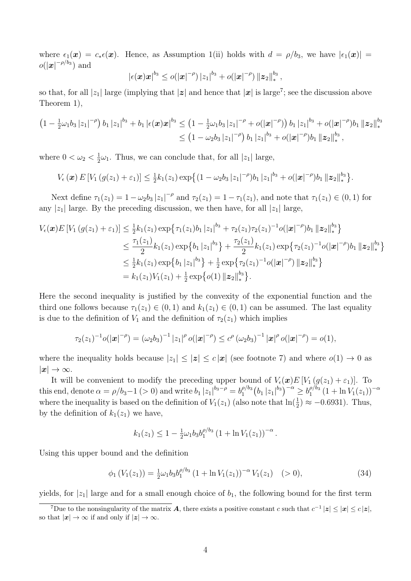where  $\epsilon_1(\mathbf{x}) = c_* \epsilon(\mathbf{x})$ . Hence, as Assumption 1(ii) holds with  $d = \rho/b_3$ , we have  $|\epsilon_1(\mathbf{x})|$  $o(|x|^{-\rho/b_3})$  and

$$
|\epsilon(\bm{x})\bm{x}|^{b_3} \leq o(|\bm{x}|^{-\rho}) |z_1|^{b_3} + o(|\bm{x}|^{-\rho}) ||\bm{z}_2||_*^{b_3}\,,
$$

so that, for all  $|z_1|$  large (implying that  $|z|$  and hence that  $|x|$  is large<sup>7</sup>; see the discussion above Theorem 1),

$$
\begin{aligned}\left(1-\tfrac{1}{2}\omega_1b_3\,|z_1|^{-\rho}\right)b_1\,|z_1|^{b_3}+b_1\,|\epsilon(\bm x)\bm x|^{b_3}&\leq \left(1-\tfrac{1}{2}\omega_1b_3\,|z_1|^{-\rho}+o(|\bm x|^{-\rho})\right)b_1\,|z_1|^{b_3}+o(|\bm x|^{-\rho})b_1\,\|\bm z_2\|_*^{b_3}\\&\leq \left(1-\omega_2b_3\,|z_1|^{-\rho}\right)b_1\,|z_1|^{b_3}+o(|\bm x|^{-\rho})b_1\,\|\bm z_2\|_*^{b_3}\,,\end{aligned}
$$

where  $0 < \omega_2 < \frac{1}{2}\omega_1$ . Thus, we can conclude that, for all  $|z_1|$  large,

$$
V_{\epsilon}(\boldsymbol{x}) E[V_1(g(z_1)+\varepsilon_1)] \leq \frac{1}{2}k_1(z_1) \exp\left\{(1-\omega_2b_3 |z_1|^{-\rho})b_1 |z_1|^{b_3}+o(|\boldsymbol{x}|^{-\rho})b_1 ||\boldsymbol{z}_2||_*^{b_3}\right\}.
$$

Next define  $\tau_1(z_1)=1 - \omega_2 b_3 |z_1|^{-\rho}$  and  $\tau_2(z_1)=1 - \tau_1(z_1)$ , and note that  $\tau_1(z_1) \in (0,1)$  for any  $|z_1|$  large. By the preceding discussion, we then have, for all  $|z_1|$  large,

$$
V_{\epsilon}(\boldsymbol{x})E[V_{1}(g(z_{1})+\varepsilon_{1})] \leq \frac{1}{2}k_{1}(z_{1})\exp\{\tau_{1}(z_{1})b_{1}|z_{1}|^{b_{3}} + \tau_{2}(z_{1})\tau_{2}(z_{1})^{-1}o(|\boldsymbol{x}|^{-\rho})b_{1}||\boldsymbol{z}_{2}||_{*}^{b_{3}}\}
$$
  
\n
$$
\leq \frac{\tau_{1}(z_{1})}{2}k_{1}(z_{1})\exp\{b_{1}|z_{1}|^{b_{3}}\} + \frac{\tau_{2}(z_{1})}{2}k_{1}(z_{1})\exp\{\tau_{2}(z_{1})^{-1}o(|\boldsymbol{x}|^{-\rho})b_{1}||\boldsymbol{z}_{2}||_{*}^{b_{3}}\}
$$
  
\n
$$
\leq \frac{1}{2}k_{1}(z_{1})\exp\{b_{1}|z_{1}|^{b_{3}}\} + \frac{1}{2}\exp\{\tau_{2}(z_{1})^{-1}o(|\boldsymbol{x}|^{-\rho})||\boldsymbol{z}_{2}||_{*}^{b_{3}}\}
$$
  
\n
$$
= k_{1}(z_{1})V_{1}(z_{1}) + \frac{1}{2}\exp\{o(1)||\boldsymbol{z}_{2}||_{*}^{b_{3}}\}.
$$

Here the second inequality is justified by the convexity of the exponential function and the third one follows because  $\tau_1(z_1) \in (0,1)$  and  $k_1(z_1) \in (0,1)$  can be assumed. The last equality is due to the definition of  $V_1$  and the definition of  $\tau_2(z_1)$  which implies

$$
\tau_2(z_1)^{-1}o(|\mathbf{x}|^{-\rho})=(\omega_2b_3)^{-1}|z_1|^{\rho}o(|\mathbf{x}|^{-\rho})\leq c^{\rho}(\omega_2b_3)^{-1}|\mathbf{x}|^{\rho}o(|\mathbf{x}|^{-\rho})=o(1),
$$

where the inequality holds because  $|z_1| \leq |z| \leq c |\mathbf{x}|$  (see footnote 7) and where  $o(1) \to 0$  as  $|x| \to \infty$ .

It will be convenient to modify the preceding upper bound of  $V_{\epsilon}(\boldsymbol{x})E[V_1(g(z_1)+\varepsilon_1)]$ . To this end, denote  $\alpha = \rho/b_3 - 1$  (> 0) and write  $b_1 |z_1|^{b_3 - \rho} = b_1^{\rho/b_3}$  $b_1^{p/b_3} (b_1 |z_1|^{b_3})^{-\alpha} \ge b_1^{p/b_3} (1 + \ln V_1(z_1))^{-\alpha}$ where the inequality is based on the definition of  $V_1(z_1)$  (also note that  $\ln(\frac{1}{2}) \approx -0.6931$ ). Thus, by the definition of  $k_1(z_1)$  we have,

$$
k_1(z_1) \leq 1 - \frac{1}{2}\omega_1 b_3 b_1^{\rho/b_3} (1 + \ln V_1(z_1))^{-\alpha}.
$$

Using this upper bound and the definition

$$
\phi_1(V_1(z_1)) = \frac{1}{2}\omega_1 b_3 b_1^{\rho/b_3} (1 + \ln V_1(z_1))^{-\alpha} V_1(z_1) \quad (>0),
$$
\n(34)

yields, for  $|z_1|$  large and for a small enough choice of  $b_1$ , the following bound for the first term

<sup>&</sup>lt;sup>7</sup>Due to the nonsingularity of the matrix *A*, there exists a positive constant *c* such that  $c^{-1} |z| \le |x| \le c |z|$ , so that  $|\mathbf{x}| \to \infty$  if and only if  $|\mathbf{z}| \to \infty$ .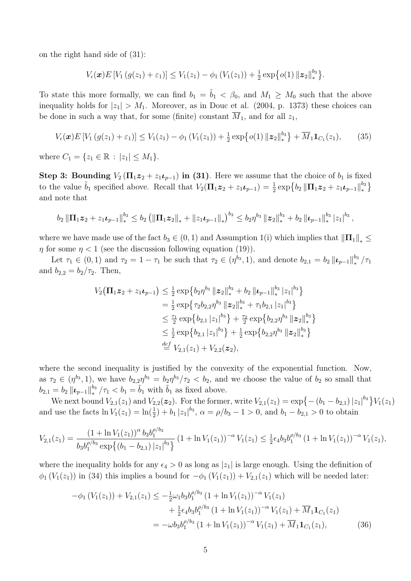on the right hand side of (31):

$$
V_{\epsilon}(\boldsymbol{x})E[V_1(g(z_1)+\varepsilon_1)] \leq V_1(z_1)-\phi_1(V_1(z_1))+\frac{1}{2}\exp\{o(1)\|\boldsymbol{z}_2\|_{*}^{b_3}\}.
$$

To state this more formally, we can find  $b_1 = b_1 < \beta_0$ , and  $M_1 \geq M_0$  such that the above inequality holds for  $|z_1| > M_1$ . Moreover, as in Douc et al. (2004, p. 1373) these choices can be done in such a way that, for some (finite) constant  $\overline{M}_1$ , and for all  $z_1$ ,

$$
V_{\epsilon}(\boldsymbol{x})E[V_1(g(z_1)+\varepsilon_1)] \leq V_1(z_1) - \phi_1(V_1(z_1)) + \frac{1}{2}\exp\{o(1)\|\boldsymbol{z}_2\|_{*}^{b_3}\} + \overline{M}_1\mathbf{1}_{C_1}(z_1),\qquad(35)
$$

where  $C_1 = \{z_1 \in \mathbb{R} : |z_1| \leq M_1\}.$ 

**Step 3: Bounding**  $V_2(\Pi_1 z_2 + z_1 t_{p-1})$  in (31). Here we assume that the choice of  $b_1$  is fixed to the value  $\tilde{b}_1$  specified above. Recall that  $V_2(\mathbf{\Pi}_1 \mathbf{z}_2 + z_1 \boldsymbol{\iota}_{p-1}) = \frac{1}{2} \exp \{b_2 \|\mathbf{\Pi}_1 \mathbf{z}_2 + z_1 \boldsymbol{\iota}_{p-1}\|_{*}^{b_3}\}$  $\mathcal{E}$ and note that

$$
b_2\left\|\Pi_1\mathbf{z}_2+z_1\mathbf{L}_{p-1}\right\|_{*}^{b_3}\leq b_2\left(\left\|\Pi_1\mathbf{z}_2\right\|_{*}+\left\|z_1\mathbf{L}_{p-1}\right\|_{*}\right)^{b_3}\leq b_2\eta^{b_3}\left\|\mathbf{z}_2\right\|_{*}^{b_3}+b_2\left\|\mathbf{L}_{p-1}\right\|_{*}^{b_3}\left|z_1\right|^{b_3},
$$

where we have made use of the fact  $b_3 \in (0,1)$  and Assumption 1(i) which implies that  $\|\Pi_1\|_* \le$  $\eta$  for some  $\eta < 1$  (see the discussion following equation (19)).

Let  $\tau_1 \in (0,1)$  and  $\tau_2 = 1 - \tau_1$  be such that  $\tau_2 \in (\eta^{b_3}, 1)$ , and denote  $b_{2,1} = b_2 ||\boldsymbol{\iota}_{p-1}||_*^{b_3}/\tau_1$ and  $b_{2,2} = b_2/\tau_2$ . Then,

$$
V_2(\Pi_1 z_2 + z_1 \iota_{p-1}) \leq \frac{1}{2} \exp\{b_2 \eta^{b_3} \|z_2\|_{*}^{b_3} + b_2 \| \iota_{p-1} \|_{*}^{b_3} |z_1|^{b_3}\}
$$
  
\n
$$
= \frac{1}{2} \exp\{\tau_2 b_{2,2} \eta^{b_3} \|z_2\|_{*}^{b_3} + \tau_1 b_{2,1} |z_1|^{b_3}\}
$$
  
\n
$$
\leq \frac{\tau_1}{2} \exp\{b_{2,1} |z_1|^{b_3}\} + \frac{\tau_2}{2} \exp\{b_{2,2} \eta^{b_3} \|z_2\|_{*}^{b_3}\}
$$
  
\n
$$
\leq \frac{1}{2} \exp\{b_{2,1} |z_1|^{b_3}\} + \frac{1}{2} \exp\{b_{2,2} \eta^{b_3} \|z_2\|_{*}^{b_3}\}
$$
  
\n
$$
\stackrel{def}{=} V_{2,1}(z_1) + V_{2,2}(z_2),
$$

where the second inequality is justified by the convexity of the exponential function. Now, as  $\tau_2 \in (\eta^{b_3}, 1)$ , we have  $b_{2,2}\eta^{b_3} = b_2\eta^{b_3}/\tau_2 < b_2$ , and we choose the value of  $b_2$  so small that  $b_{2,1} = b_2 ||\boldsymbol{\iota}_{p-1}||_*^{b_3}/\tau_1 < b_1 = \tilde{b}_1$  with  $\tilde{b}_1$  as fixed above.

We next bound  $V_{2,1}(z_1)$  and  $V_{2,2}(z_2)$ . For the former, write  $V_{2,1}(z_1) = \exp\{- (b_1 - b_{2,1}) |z_1|^{b_3}\} V_1(z_1)$ and use the facts  $\ln V_1(z_1) = \ln(\frac{1}{2}) + b_1 |z_1|^{b_3}$ ,  $\alpha = \rho/b_3 - 1 > 0$ , and  $b_1 - b_{2,1} > 0$  to obtain

$$
V_{2,1}(z_1) = \frac{(1 + \ln V_1(z_1))^{\alpha} b_3 b_1^{\rho/b_3}}{b_3 b_1^{\rho/b_3} \exp\{(b_1 - b_{2,1}) |z_1|^{b_3}\}} (1 + \ln V_1(z_1))^{-\alpha} V_1(z_1) \le \frac{1}{2} \epsilon_4 b_3 b_1^{\rho/b_3} (1 + \ln V_1(z_1))^{-\alpha} V_1(z_1),
$$

where the inequality holds for any  $\epsilon_4 > 0$  as long as  $|z_1|$  is large enough. Using the definition of  $\phi_1(V_1(z_1))$  in (34) this implies a bound for  $-\phi_1(V_1(z_1)) + V_{2,1}(z_1)$  which will be needed later:

$$
-\phi_1 (V_1(z_1)) + V_{2,1}(z_1) \le -\frac{1}{2}\omega_1 b_3 b_1^{\rho/b_3} (1 + \ln V_1(z_1))^{-\alpha} V_1(z_1)
$$
  
+ 
$$
\frac{1}{2} \epsilon_4 b_3 b_1^{\rho/b_3} (1 + \ln V_1(z_1))^{-\alpha} V_1(z_1) + \overline{M}_1 \mathbf{1}_{C_1}(z_1)
$$
  
= 
$$
-\omega b_3 b_1^{\rho/b_3} (1 + \ln V_1(z_1))^{-\alpha} V_1(z_1) + \overline{M}_1 \mathbf{1}_{C_1}(z_1),
$$
 (36)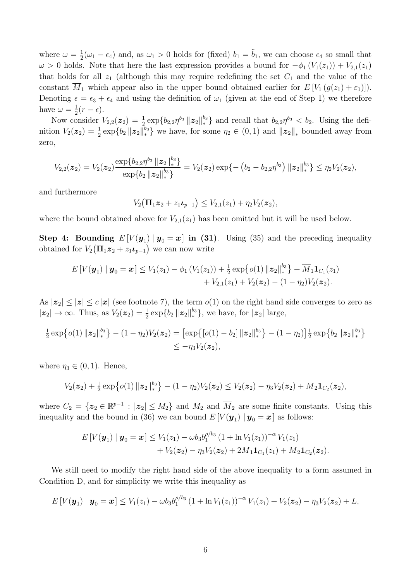where  $\omega = \frac{1}{2}(\omega_1 - \epsilon_4)$  and, as  $\omega_1 > 0$  holds for (fixed)  $b_1 = \tilde{b}_1$ , we can choose  $\epsilon_4$  so small that  $\omega > 0$  holds. Note that here the last expression provides a bound for  $-\phi_1 (V_1(z_1)) + V_{2,1}(z_1)$ that holds for all  $z_1$  (although this may require redefining the set  $C_1$  and the value of the constant  $\overline{M}_1$  which appear also in the upper bound obtained earlier for  $E[V_1(g(z_1)+\varepsilon_1)]$ . Denoting  $\epsilon = \epsilon_3 + \epsilon_4$  and using the definition of  $\omega_1$  (given at the end of Step 1) we therefore have  $\omega = \frac{1}{2}(r - \epsilon)$ .

Now consider  $V_{2,2}(z_2) = \frac{1}{2} \exp\{b_{2,2}\eta^{b_3} \mid z_2 \mid \big|_*^{b_3}\}$  and recall that  $b_{2,2}\eta^{b_3} < b_2$ . Using the definition  $V_2(z_2) = \frac{1}{2} \exp\{b_2 ||z_2||_*^{b_3}\}\$  we have, for some  $\eta_2 \in (0,1)$  and  $||z_2||_*$  bounded away from zero,

$$
V_{2,2}(\boldsymbol{z}_2) = V_2(\boldsymbol{z}_2) \frac{\exp\{b_{2,2}\eta^{b_3} \|\boldsymbol{z}_2\|_{*}^{b_3}\}}{\exp\{b_2 \|\boldsymbol{z}_2\|_{*}^{b_3}\}} = V_2(\boldsymbol{z}_2) \exp\{-\left(b_2 - b_{2,2}\eta^{b_3}\right) \|\boldsymbol{z}_2\|_{*}^{b_3}\} \leq \eta_2 V_2(\boldsymbol{z}_2),
$$

and furthermore

$$
V_2(\Pi_1 z_2 + z_1 \iota_{p-1}) \leq V_{2,1}(z_1) + \eta_2 V_2(z_2),
$$

where the bound obtained above for  $V_{2,1}(z_1)$  has been omitted but it will be used below.

**Step 4:** Bounding  $E[V(y_1) | y_0 = x]$  in (31). Using (35) and the preceding inequality obtained for  $V_2(\Pi_1 z_2 + z_1 t_{p-1})$  we can now write

$$
E[V(\mathbf{y}_1) | \mathbf{y}_0 = \mathbf{x}] \le V_1(z_1) - \phi_1(V_1(z_1)) + \frac{1}{2} \exp\left\{o(1) \| \mathbf{z}_2 \|_{*}^{b_3}\right\} + \overline{M}_1 \mathbf{1}_{C_1}(z_1) + V_{2,1}(z_1) + V_{2,1}(z_1) + V_2(\mathbf{z}_2) - (1 - \eta_2) V_2(\mathbf{z}_2).
$$

As  $|z_2| \leq |z| \leq c |\mathbf{x}|$  (see footnote 7), the term  $o(1)$  on the right hand side converges to zero as  $|z_2| \to \infty$ . Thus, as  $V_2(z_2) = \frac{1}{2} \exp\{b_2 ||z_2||_*^{b_3}\}$ , we have, for  $|z_2|$  large,

$$
\frac{1}{2} \exp \{ o(1) \| \mathbf{z}_2 \|_{*}^{b_3} \} - (1 - \eta_2) V_2(\mathbf{z}_2) = \left[ \exp \{ [o(1) - b_2] \| \mathbf{z}_2 \|_{*}^{b_3} \} - (1 - \eta_2) \right] \frac{1}{2} \exp \{ b_2 \| \mathbf{z}_2 \|_{*}^{b_3} \} \n\leq -\eta_3 V_2(\mathbf{z}_2),
$$

where  $\eta_3 \in (0, 1)$ . Hence,

$$
V_2(\boldsymbol{z}_2)+\tfrac{1}{2}\exp\big\{o(1)\left\|\boldsymbol{z}_2\right\|^{b_3}_*\big\}-(1-\eta_2)V_2(\boldsymbol{z}_2)\leq V_2(\boldsymbol{z}_2)-\eta_3V_2(\boldsymbol{z}_2)+\overline{M}_2\boldsymbol{1}_{C_2}(\boldsymbol{z}_2),
$$

where  $C_2 = \{z_2 \in \mathbb{R}^{p-1} : |z_2| \leq M_2\}$  and  $M_2$  and  $\overline{M}_2$  are some finite constants. Using this inequality and the bound in (36) we can bound  $E[V(\mathbf{y}_1) | \mathbf{y}_0 = \mathbf{x}]$  as follows:

$$
E[V(\mathbf{y}_1) | \mathbf{y}_0 = \mathbf{x}] \le V_1(z_1) - \omega b_3 b_1^{\rho/b_3} (1 + \ln V_1(z_1))^{-\alpha} V_1(z_1) + V_2(\mathbf{z}_2) - \eta_3 V_2(\mathbf{z}_2) + 2\overline{M}_1 \mathbf{1}_{C_1}(z_1) + \overline{M}_2 \mathbf{1}_{C_2}(\mathbf{z}_2).
$$

We still need to modify the right hand side of the above inequality to a form assumed in Condition D, and for simplicity we write this inequality as

$$
E[V(\mathbf{y}_1) | \mathbf{y}_0 = \mathbf{x}] \le V_1(z_1) - \omega b_3 b_1^{\rho/b_3} (1 + \ln V_1(z_1))^{-\alpha} V_1(z_1) + V_2(\mathbf{z}_2) - \eta_3 V_2(\mathbf{z}_2) + L,
$$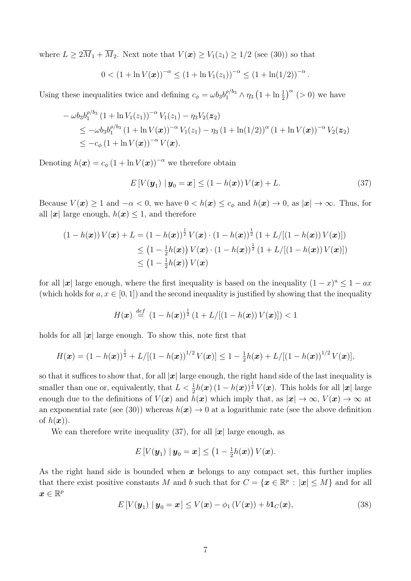where  $L \geq 2\overline{M}_1 + \overline{M}_2$ . Next note that  $V(\boldsymbol{x}) \geq V_1(z_1) \geq 1/2$  (see (30)) so that

$$
0 < (1 + \ln V(\boldsymbol{x}))^{-\alpha} \le (1 + \ln V_1(z_1))^{-\alpha} \le (1 + \ln(1/2))^{-\alpha}.
$$

Using these inequalities twice and defining  $c_{\phi} = \omega b_3 b_1^{\rho/b_3} \wedge \eta_3 (1 + \ln \frac{1}{2})^{\alpha}$  (> 0) we have

$$
- \omega b_3 b_1^{\rho/b_3} (1 + \ln V_1(z_1))^{-\alpha} V_1(z_1) - \eta_3 V_2(z_2)
$$
  
\n
$$
\leq -\omega b_3 b_1^{\rho/b_3} (1 + \ln V(\boldsymbol{x}))^{-\alpha} V_1(z_1) - \eta_3 (1 + \ln(1/2))^{\alpha} (1 + \ln V(\boldsymbol{x}))^{-\alpha} V_2(z_2)
$$
  
\n
$$
\leq -c_{\phi} (1 + \ln V(\boldsymbol{x}))^{-\alpha} V(\boldsymbol{x}).
$$

Denoting  $h(\mathbf{x}) = c_{\phi} (1 + \ln V(\mathbf{x}))^{-\alpha}$  we therefore obtain

$$
E[V(\boldsymbol{y}_1) \mid \boldsymbol{y}_0 = \boldsymbol{x}] \le (1 - h(\boldsymbol{x}))V(\boldsymbol{x}) + L. \tag{37}
$$

Because  $V(\mathbf{x}) \ge 1$  and  $-\alpha < 0$ , we have  $0 < h(\mathbf{x}) \le c_{\phi}$  and  $h(\mathbf{x}) \to 0$ , as  $|\mathbf{x}| \to \infty$ . Thus, for all  $|x|$  large enough,  $h(x) \leq 1$ , and therefore

$$
(1 - h(\boldsymbol{x})) V(\boldsymbol{x}) + L = (1 - h(\boldsymbol{x}))^{\frac{1}{2}} V(\boldsymbol{x}) \cdot (1 - h(\boldsymbol{x}))^{\frac{1}{2}} (1 + L/[(1 - h(\boldsymbol{x})) V(\boldsymbol{x})])
$$
  
\n
$$
\leq (1 - \frac{1}{2}h(\boldsymbol{x})) V(\boldsymbol{x}) \cdot (1 - h(\boldsymbol{x}))^{\frac{1}{2}} (1 + L/[(1 - h(\boldsymbol{x})) V(\boldsymbol{x})])
$$
  
\n
$$
\leq (1 - \frac{1}{2}h(\boldsymbol{x})) V(\boldsymbol{x})
$$

for all  $|x|$  large enough, where the first inequality is based on the inequality  $(1-x)^a < 1 - ax$ (which holds for  $a, x \in [0, 1]$ ) and the second inequality is justified by showing that the inequality

$$
H(\boldsymbol{x}) \stackrel{\text{def}}{=} (1 - h(\boldsymbol{x}))^{\frac{1}{2}} (1 + L/[(1 - h(\boldsymbol{x})) V(\boldsymbol{x})]) < 1
$$

holds for all  $|x|$  large enough. To show this, note first that

$$
H(\boldsymbol{x}) = (1 - h(\boldsymbol{x}))^{\frac{1}{2}} + L/[(1 - h(\boldsymbol{x}))^{1/2} V(\boldsymbol{x})] \leq 1 - \frac{1}{2}h(\boldsymbol{x}) + L/[(1 - h(\boldsymbol{x}))^{1/2} V(\boldsymbol{x})],
$$

so that it suffices to show that, for all  $|x|$  large enough, the right hand side of the last inequality is smaller than one or, equivalently, that  $L < \frac{1}{2}h(x)(1 - h(x))^{\frac{1}{2}}V(x)$ . This holds for all  $|x|$  large enough due to the definitions of  $V(x)$  and  $h(x)$  which imply that, as  $|x| \to \infty$ ,  $V(x) \to \infty$  at an exponential rate (see (30)) whereas  $h(x) \to 0$  at a logarithmic rate (see the above definition of  $h(\boldsymbol{x})$ ).

We can therefore write inequality (37), for all  $|x|$  large enough, as

$$
E\left[V(\boldsymbol{y}_1) \mid \boldsymbol{y}_0 = \boldsymbol{x}\right] \leq \left(1 - \frac{1}{2}h(\boldsymbol{x})\right)V(\boldsymbol{x}).
$$

As the right hand side is bounded when *x* belongs to any compact set, this further implies that there exist positive constants *M* and *b* such that for  $C = \{x \in \mathbb{R}^p : |x| \leq M\}$  and for all  $\boldsymbol{x} \in \mathbb{R}^p$ 

$$
E[V(\boldsymbol{y}_1) \mid \boldsymbol{y}_0 = \boldsymbol{x}] \le V(\boldsymbol{x}) - \phi_1(V(\boldsymbol{x})) + b\mathbf{1}_C(\boldsymbol{x}), \tag{38}
$$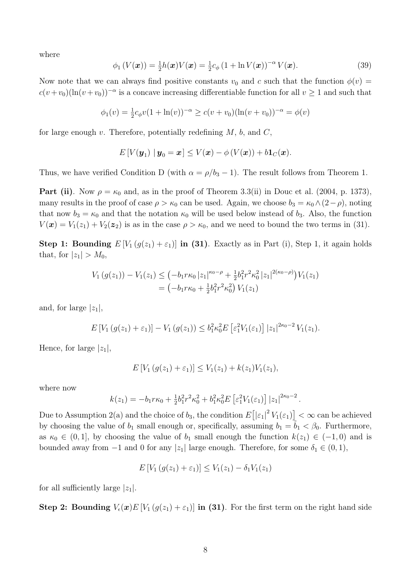where

$$
\phi_1(V(\boldsymbol{x})) = \frac{1}{2}h(\boldsymbol{x})V(\boldsymbol{x}) = \frac{1}{2}c_{\phi}\left(1 + \ln V(\boldsymbol{x})\right)^{-\alpha}V(\boldsymbol{x}). \tag{39}
$$

Now note that we can always find positive constants  $v_0$  and c such that the function  $\phi(v)$  $c(v+v_0)(\ln(v+v_0))^{-\alpha}$  is a concave increasing differentiable function for all  $v\geq 1$  and such that

$$
\phi_1(v) = \frac{1}{2}c_{\phi}v(1 + \ln(v))^{-\alpha} \ge c(v + v_0)(\ln(v + v_0))^{-\alpha} = \phi(v)
$$

for large enough *v*. Therefore, potentially redefining *M*, *b*, and *C*,

$$
E[V(\boldsymbol{y}_1) | \boldsymbol{y}_0 = \boldsymbol{x}] \leq V(\boldsymbol{x}) - \phi(V(\boldsymbol{x})) + b\mathbf{1}_C(\boldsymbol{x}).
$$

Thus, we have verified Condition D (with  $\alpha = \rho/b_3 - 1$ ). The result follows from Theorem 1.

**Part (ii)**. Now  $\rho = \kappa_0$  and, as in the proof of Theorem 3.3(ii) in Douc et al. (2004, p. 1373), many results in the proof of case  $\rho > \kappa_0$  can be used. Again, we choose  $b_3 = \kappa_0 \wedge (2-\rho)$ , noting that now  $b_3 = \kappa_0$  and that the notation  $\kappa_0$  will be used below instead of  $b_3$ . Also, the function  $V(\mathbf{x}) = V_1(z_1) + V_2(\mathbf{z}_2)$  is as in the case  $\rho > \kappa_0$ , and we need to bound the two terms in (31).

**Step 1: Bounding**  $E[V_1(g(z_1)+\varepsilon_1)]$  in (31). Exactly as in Part (i), Step 1, it again holds that, for  $|z_1| > M_0$ ,

$$
V_1(g(z_1)) - V_1(z_1) \leq \left(-b_1 r \kappa_0 |z_1|^{\kappa_0 - \rho} + \frac{1}{2} b_1^2 r^2 \kappa_0^2 |z_1|^{2(\kappa_0 - \rho)}\right) V_1(z_1)
$$
  
=  $\left(-b_1 r \kappa_0 + \frac{1}{2} b_1^2 r^2 \kappa_0^2\right) V_1(z_1)$ 

and, for large  $|z_1|$ ,

$$
E[V_1(g(z_1)+\varepsilon_1)]-V_1(g(z_1)) \leq b_1^2 \kappa_0^2 E\left[\varepsilon_1^2 V_1(\varepsilon_1)\right] |z_1|^{2\kappa_0-2} V_1(z_1).
$$

Hence, for large  $|z_1|$ ,

$$
E[V_1(g(z_1)+\varepsilon_1)] \le V_1(z_1)+k(z_1)V_1(z_1),
$$

where now

$$
k(z_1) = -b_1 r \kappa_0 + \frac{1}{2} b_1^2 r^2 \kappa_0^2 + b_1^2 \kappa_0^2 E \left[ \varepsilon_1^2 V_1(\varepsilon_1) \right] |z_1|^{2\kappa_0 - 2}.
$$

Due to Assumption 2(a) and the choice of  $b_3$ , the condition  $E([z_1]^2 V_1(z_1)] \leq \infty$  can be achieved by choosing the value of  $b_1$  small enough or, specifically, assuming  $b_1 = b_1 < \beta_0$ . Furthermore, as  $\kappa_0 \in (0,1]$ , by choosing the value of  $b_1$  small enough the function  $k(z_1) \in (-1,0)$  and is bounded away from  $-1$  and 0 for any  $|z_1|$  large enough. Therefore, for some  $\delta_1 \in (0,1)$ ,

$$
E[V_1(g(z_1) + \varepsilon_1)] \le V_1(z_1) - \delta_1 V_1(z_1)
$$

for all sufficiently large  $|z_1|$ .

**Step 2: Bounding**  $V_{\epsilon}(x)E[V_1(g(z_1)+\varepsilon_1)]$  in (31). For the first term on the right hand side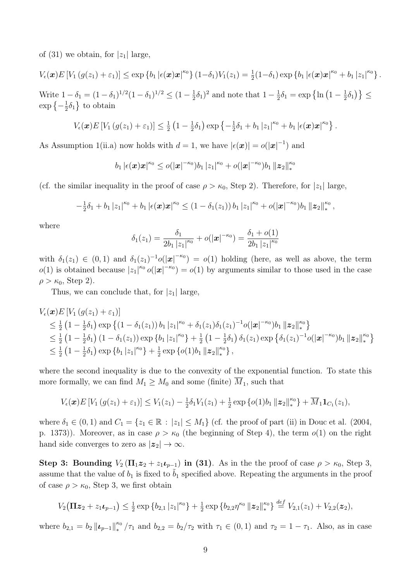of (31) we obtain, for  $|z_1|$  large,

$$
V_{\epsilon}(\boldsymbol{x})E[V_1(g(z_1)+\varepsilon_1)] \leq \exp\{b_1|\epsilon(\boldsymbol{x})\boldsymbol{x}|^{\kappa_0}\} (1-\delta_1)V_1(z_1) = \frac{1}{2}(1-\delta_1)\exp\{b_1|\epsilon(\boldsymbol{x})\boldsymbol{x}|^{\kappa_0} + b_1|z_1|^{\kappa_0}\}.
$$

Write  $1 - \delta_1 = (1 - \delta_1)^{1/2} (1 - \delta_1)^{1/2} \le (1 - \frac{1}{2}\delta_1)^2$  and note that  $1 - \frac{1}{2}\delta_1 = \exp\left\{\ln\left(1 - \frac{1}{2}\delta_1\right)\right\} \le$  $\exp\left\{-\frac{1}{2}\delta_1\right\}$  to obtain

$$
V_{\epsilon}(\boldsymbol{x})E[V_1(g(z_1)+\varepsilon_1)] \leq \frac{1}{2}(1-\frac{1}{2}\delta_1)\exp\left\{-\frac{1}{2}\delta_1+b_1|z_1|^{\kappa_0}+b_1|\epsilon(\boldsymbol{x})\boldsymbol{x}|^{\kappa_0}\right\}.
$$

As Assumption 1(ii.a) now holds with  $d = 1$ , we have  $|\epsilon(\mathbf{x})| = o(|\mathbf{x}|^{-1})$  and

$$
b_1 |\epsilon(\bm{x})\bm{x}|^{\kappa_0} \leq o(|\bm{x}|^{-\kappa_0}) b_1 |z_1|^{\kappa_0} + o(|\bm{x}|^{-\kappa_0}) b_1 \| \bm{z}_2 \|_*^{\kappa_0}
$$

(cf. the similar inequality in the proof of case  $\rho > \kappa_0$ , Step 2). Therefore, for  $|z_1|$  large,

$$
-\frac{1}{2}\delta_1+b_1|z_1|^{\kappa_0}+b_1|\epsilon(\boldsymbol{x})\boldsymbol{x}|^{\kappa_0}\leq (1-\delta_1(z_1))|b_1|z_1|^{\kappa_0}+o(|\boldsymbol{x}|^{-\kappa_0})b_1\,\|\boldsymbol{z}_2\|_{*}^{\kappa_0},
$$

where

$$
\delta_1(z_1) = \frac{\delta_1}{2b_1 |z_1|^{\kappa_0}} + o(|x|^{-\kappa_0}) = \frac{\delta_1 + o(1)}{2b_1 |z_1|^{\kappa_0}}
$$

with  $\delta_1(z_1) \in (0,1)$  and  $\delta_1(z_1)^{-1}o(|\mathbf{x}|^{-\kappa_0}) = o(1)$  holding (here, as well as above, the term  $o(1)$  is obtained because  $|z_1|^{\kappa_0} o(|x|^{-\kappa_0}) = o(1)$  by arguments similar to those used in the case  $\rho > \kappa_0$ , Step 2).

Thus, we can conclude that, for  $|z_1|$  large,

$$
V_{\epsilon}(\boldsymbol{x})E[V_{1}(g(z_{1})+\varepsilon_{1})]
$$
  
\n
$$
\leq \frac{1}{2}(1-\frac{1}{2}\delta_{1})\exp\left\{(1-\delta_{1}(z_{1}))b_{1}|z_{1}|^{\kappa_{0}}+\delta_{1}(z_{1})\delta_{1}(z_{1})^{-1}o(|\boldsymbol{x}|^{-\kappa_{0}})b_{1}||\boldsymbol{z}_{2}||_{*}^{\kappa_{0}}\right\}
$$
  
\n
$$
\leq \frac{1}{2}(1-\frac{1}{2}\delta_{1})(1-\delta_{1}(z_{1}))\exp\left\{b_{1}|z_{1}|^{\kappa_{0}}\right\}+\frac{1}{2}(1-\frac{1}{2}\delta_{1})\delta_{1}(z_{1})\exp\left\{\delta_{1}(z_{1})^{-1}o(|\boldsymbol{x}|^{-\kappa_{0}})b_{1}||\boldsymbol{z}_{2}||_{*}^{\kappa_{0}}\right\}
$$
  
\n
$$
\leq \frac{1}{2}(1-\frac{1}{2}\delta_{1})\exp\left\{b_{1}|z_{1}|^{\kappa_{0}}\right\}+\frac{1}{2}\exp\left\{o(1)b_{1}||\boldsymbol{z}_{2}||_{*}^{\kappa_{0}}\right\},
$$

where the second inequality is due to the convexity of the exponential function. To state this more formally, we can find  $M_1 \geq M_0$  and some (finite)  $\overline{M}_1$ , such that

$$
V_{\epsilon}(\boldsymbol{x})E[V_1(g(z_1)+\varepsilon_1)] \leq V_1(z_1) - \frac{1}{2}\delta_1 V_1(z_1) + \frac{1}{2}\exp\{o(1)b_1 \|\boldsymbol{z}_2\|_{*}^{\kappa_0}\} + \overline{M}_1 \mathbf{1}_{C_1}(z_1),
$$

where  $\delta_1 \in (0,1)$  and  $C_1 = \{z_1 \in \mathbb{R} : |z_1| \leq M_1\}$  (cf. the proof of part (ii) in Douc et al. (2004, p. 1373)). Moreover, as in case  $\rho > \kappa_0$  (the beginning of Step 4), the term  $o(1)$  on the right hand side converges to zero as  $|z_2| \to \infty$ .

Step 3: Bounding  $V_2(\Pi_1 z_2 + z_1 t_{p-1})$  in (31). As in the the proof of case  $\rho > \kappa_0$ , Step 3, assume that the value of  $b_1$  is fixed to  $b_1$  specified above. Repeating the arguments in the proof of case  $\rho > \kappa_0$ , Step 3, we first obtain

$$
V_2(\mathbf{\Pi} \mathbf{z}_2 + z_1 \mathbf{z}_{p-1}) \leq \frac{1}{2} \exp \{b_{2,1} |z_1|^{\kappa_0}\} + \frac{1}{2} \exp \{b_{2,2} \eta^{\kappa_0} \|\mathbf{z}_2\|_{*}^{\kappa_0}\} \stackrel{def}{=} V_{2,1}(z_1) + V_{2,2}(\mathbf{z}_2),
$$

where  $b_{2,1} = b_2 ||\boldsymbol{\iota}_{p-1}||_*^{\kappa_0}/\tau_1$  and  $b_{2,2} = b_2/\tau_2$  with  $\tau_1 \in (0,1)$  and  $\tau_2 = 1 - \tau_1$ . Also, as in case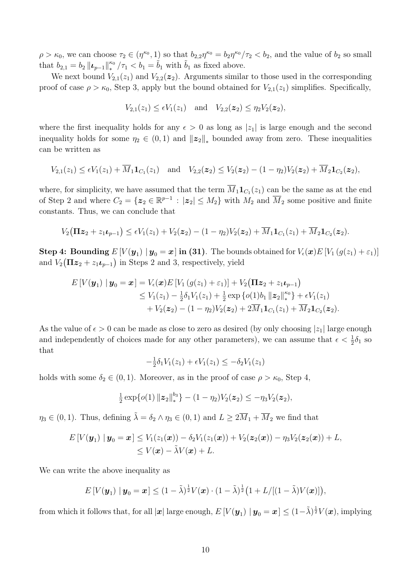$\rho > \kappa_0$ , we can choose  $\tau_2 \in (\eta^{\kappa_0}, 1)$  so that  $b_{2,2}\eta^{\kappa_0} = b_2\eta^{\kappa_0}/\tau_2 < b_2$ , and the value of  $b_2$  so small that  $b_{2,1} = b_2 ||\boldsymbol{\iota}_{p-1}||_*^{\kappa_0}/\tau_1 < b_1 = \tilde{b}_1$  with  $\tilde{b}_1$  as fixed above.

We next bound  $V_{2,1}(z_1)$  and  $V_{2,2}(z_2)$ . Arguments similar to those used in the corresponding proof of case  $\rho > \kappa_0$ , Step 3, apply but the bound obtained for  $V_{2,1}(z_1)$  simplifies. Specifically,

$$
V_{2,1}(z_1) \leq \epsilon V_1(z_1)
$$
 and  $V_{2,2}(z_2) \leq \eta_2 V_2(z_2)$ ,

where the first inequality holds for any  $\epsilon > 0$  as long as  $|z_1|$  is large enough and the second inequality holds for some  $\eta_2 \in (0,1)$  and  $||z_2||_*$  bounded away from zero. These inequalities can be written as

$$
V_{2,1}(z_1) \leq \epsilon V_1(z_1) + \overline{M}_1 \mathbf{1}_{C_1}(z_1) \text{ and } V_{2,2}(\boldsymbol{z}_2) \leq V_2(\boldsymbol{z}_2) - (1 - \eta_2) V_2(\boldsymbol{z}_2) + \overline{M}_2 \mathbf{1}_{C_2}(\boldsymbol{z}_2),
$$

where, for simplicity, we have assumed that the term  $\overline{M}_1 \mathbf{1}_{C_1}(z_1)$  can be the same as at the end of Step 2 and where  $C_2 = \{z_2 \in \mathbb{R}^{p-1} : |z_2| \leq M_2\}$  with  $M_2$  and  $\overline{M}_2$  some positive and finite constants. Thus, we can conclude that

$$
V_2(\Pi z_2 + z_1 \iota_{p-1}) \leq \epsilon V_1(z_1) + V_2(z_2) - (1 - \eta_2)V_2(z_2) + \overline{M}_1 \mathbf{1}_{C_1}(z_1) + \overline{M}_2 \mathbf{1}_{C_2}(z_2).
$$

**Step 4:** Bounding  $E[V(y_1) | y_0 = x]$  in (31). The bounds obtained for  $V_{\epsilon}(x)E[V_1(g(z_1) + \varepsilon_1)]$ and  $V_2(\Pi z_2 + z_1 \iota_{p-1})$  in Steps 2 and 3, respectively, yield

$$
E[V(\mathbf{y}_1) | \mathbf{y}_0 = \mathbf{x}] = V_{\epsilon}(\mathbf{x}) E[V_1(g(z_1) + \varepsilon_1)] + V_2(\mathbf{\Pi} \mathbf{z}_2 + z_1 \mathbf{z}_{p-1})
$$
  
\n
$$
\leq V_1(z_1) - \frac{1}{2} \delta_1 V_1(z_1) + \frac{1}{2} \exp \{o(1) b_1 ||\mathbf{z}_2||_*^{\kappa_0}\} + \epsilon V_1(z_1)
$$
  
\n
$$
+ V_2(\mathbf{z}_2) - (1 - \eta_2) V_2(\mathbf{z}_2) + 2 \overline{M}_1 \mathbf{1}_{C_1}(z_1) + \overline{M}_2 \mathbf{1}_{C_2}(\mathbf{z}_2).
$$

As the value of  $\epsilon > 0$  can be made as close to zero as desired (by only choosing  $|z_1|$  large enough and independently of choices made for any other parameters), we can assume that  $\epsilon < \frac{1}{2}\delta_1$  so that

$$
-\frac{1}{2}\delta_1 V_1(z_1) + \epsilon V_1(z_1) \le -\delta_2 V_1(z_1)
$$

holds with some  $\delta_2 \in (0,1)$ . Moreover, as in the proof of case  $\rho > \kappa_0$ , Step 4,

$$
\frac{1}{2}\exp\{o(1)\left\|z_2\right\|_{*}^{b_3}\}-(1-\eta_2)V_2(z_2)\leq -\eta_3V_2(z_2),
$$

 $\eta_3 \in (0,1)$ . Thus, defining  $\tilde{\lambda} = \delta_2 \wedge \eta_3 \in (0,1)$  and  $L \geq 2\overline{M}_1 + \overline{M}_2$  we find that

$$
E[V(\boldsymbol{y}_1) \mid \boldsymbol{y}_0 = \boldsymbol{x}] \leq V_1(z_1(\boldsymbol{x})) - \delta_2 V_1(z_1(\boldsymbol{x})) + V_2(\boldsymbol{z}_2(\boldsymbol{x})) - \eta_3 V_2(\boldsymbol{z}_2(\boldsymbol{x})) + L, \leq V(\boldsymbol{x}) - \tilde{\lambda} V(\boldsymbol{x}) + L.
$$

We can write the above inequality as

$$
E[V(\boldsymbol{y}_1) \mid \boldsymbol{y}_0 = \boldsymbol{x}] \leq (1 - \tilde{\lambda})^{\frac{1}{2}} V(\boldsymbol{x}) \cdot (1 - \tilde{\lambda})^{\frac{1}{2}} \big( 1 + L/[(1 - \tilde{\lambda})V(\boldsymbol{x})] \big),
$$

from which it follows that, for all  $|\mathbf{x}|$  large enough,  $E[V(\mathbf{y}_1) | \mathbf{y}_0 = \mathbf{x}] \leq (1-\tilde{\lambda})^{\frac{1}{2}}V(\mathbf{x})$ , implying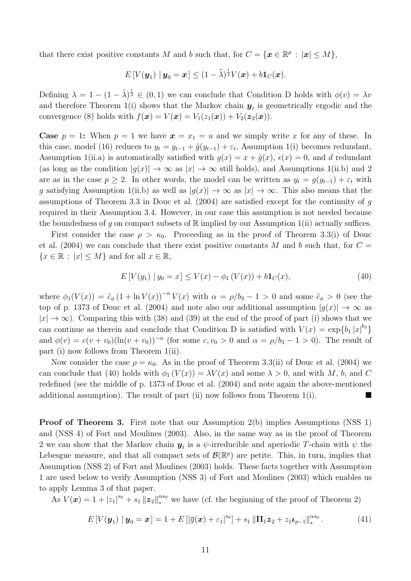that there exist positive constants *M* and *b* such that, for  $C = {\mathbf{x} \in \mathbb{R}^p : |\mathbf{x}| \le M}$ ,

$$
E[V(\boldsymbol{y}_1) | \boldsymbol{y}_0 = \boldsymbol{x}] \leq (1 - \tilde{\lambda})^{\frac{1}{2}} V(\boldsymbol{x}) + b \mathbf{1}_C(\boldsymbol{x}).
$$

Defining  $\lambda = 1 - (1 - \tilde{\lambda})^{\frac{1}{2}} \in (0, 1)$  we can conclude that Condition D holds with  $\phi(v) = \lambda v$ and therefore Theorem 1(i) shows that the Markov chain  $y_t$  is geometrically ergodic and the convergence (8) holds with  $f(x) = V(x) = V_1(z_1(x)) + V_2(z_2(x))$ .

**Case**  $p = 1$ : When  $p = 1$  we have  $x = x_1 = u$  and we simply write x for any of these. In this case, model (16) reduces to  $y_t = y_{t-1} + \tilde{g}(y_{t-1}) + \varepsilon_t$ , Assumption 1(i) becomes redundant, Assumption 1(ii.a) is automatically satisfied with  $g(x) = x + \tilde{g}(x)$ ,  $\epsilon(x) = 0$ , and *d* redundant (as long as the condition  $|g(x)| \to \infty$  as  $|x| \to \infty$  still holds), and Assumptions 1(ii.b) and 2 are as in the case  $p \geq 2$ . In other words, the model can be written as  $y_t = g(y_{t-1}) + \varepsilon_t$  with *g* satisfying Assumption 1(ii.b) as well as  $|g(x)| \to \infty$  as  $|x| \to \infty$ . This also means that the assumptions of Theorem 3.3 in Douc et al. (2004) are satisfied except for the continuity of *g* required in their Assumption 3.4. However, in our case this assumption is not needed because the boundedness of *q* on compact subsets of  $\mathbb R$  implied by our Assumption 1(ii) actually suffices.

First consider the case  $\rho > \kappa_0$ . Proceeding as in the proof of Theorem 3.3(i) of Douc et al.  $(2004)$  we can conclude that there exist positive constants M and b such that, for  $C =$  ${x \in \mathbb{R} : |x| \le M}$  and for all  $x \in \mathbb{R}$ ,

$$
E[V(y_1) | y_0 = x] \le V(x) - \phi_1(V(x)) + b \mathbf{1}_C(x), \tag{40}
$$

where  $\phi_1(V(x)) = \tilde{c}_\phi(1 + \ln V(x))^{-\alpha} V(x)$  with  $\alpha = \rho/b_3 - 1 > 0$  and some  $\tilde{c}_\phi > 0$  (see the top of p. 1373 of Douc et al. (2004) and note also our additional assumption  $|q(x)| \to \infty$  as  $|x| \to \infty$ ). Comparing this with (38) and (39) at the end of the proof of part (i) shows that we can continue as therein and conclude that Condition D is satisfied with  $V(x) = \exp\{b_1 |x|^{b_3}\}$ and  $\phi(v) = c(v + v_0)(\ln(v + v_0))^{-\alpha}$  (for some  $c, v_0 > 0$  and  $\alpha = \rho/b_3 - 1 > 0$ ). The result of part (i) now follows from Theorem 1(ii).

Now consider the case  $\rho = \kappa_0$ . As in the proof of Theorem 3.3(ii) of Douc et al. (2004) we can conclude that (40) holds with  $\phi_1 (V(x)) = \lambda V(x)$  and some  $\lambda > 0$ , and with *M*, *b*, and *C* redefined (see the middle of p. 1373 of Douc et al. (2004) and note again the above-mentioned additional assumption). The result of part (ii) now follows from Theorem 1(i).

Proof of Theorem 3. First note that our Assumption 2(b) implies Assumptions (NSS 1) and (NSS 4) of Fort and Moulines (2003). Also, in the same way as in the proof of Theorem 2 we can show that the Markov chain  $y_t$  is a  $\psi$ -irreducible and aperiodic T-chain with  $\psi$  the Lebesgue measure, and that all compact sets of  $\mathcal{B}(\mathbb{R}^p)$  are petite. This, in turn, implies that Assumption (NSS 2) of Fort and Moulines (2003) holds. These facts together with Assumption 1 are used below to verify Assumption (NSS 3) of Fort and Moulines (2003) which enables us to apply Lemma 3 of that paper.

As  $V(\mathbf{x}) = 1 + |z_1|^{s_0} + s_1 ||\mathbf{z}_2||_*^{s_0}$  we have (cf. the beginning of the proof of Theorem 2)

$$
E[V(\mathbf{y}_1) | \mathbf{y}_0 = \mathbf{x}] = 1 + E\left[|\overline{g}(\mathbf{x}) + \varepsilon_1|^{s_0}\right] + s_1 \|\mathbf{\Pi}_1 \mathbf{z}_2 + z_1 \mathbf{z}_{p-1}\|_{*}^{s_0}.
$$
 (41)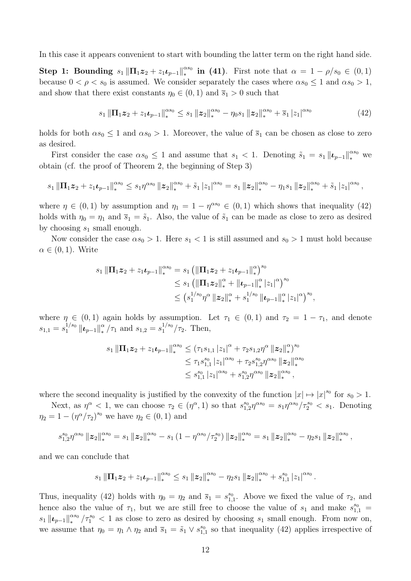In this case it appears convenient to start with bounding the latter term on the right hand side.

**Step 1: Bounding**  $s_1 \|\Pi_1 z_2 + z_1 t_{p-1}\|_*^{\alpha s_0}$  in (41). First note that  $\alpha = 1 - \rho/s_0 \in (0,1)$ because  $0 < \rho < s_0$  is assumed. We consider separately the cases where  $\alpha s_0 \leq 1$  and  $\alpha s_0 > 1$ , and show that there exist constants  $\eta_0 \in (0,1)$  and  $\overline{s}_1 > 0$  such that

$$
s_1 \|\Pi_1 z_2 + z_1 \iota_{p-1}\|_{*}^{\alpha s_0} \leq s_1 \|z_2\|_{*}^{\alpha s_0} - \eta_0 s_1 \|z_2\|_{*}^{\alpha s_0} + \overline{s}_1 |z_1|^{\alpha s_0}
$$
(42)

holds for both  $\alpha s_0 \leq 1$  and  $\alpha s_0 > 1$ . Moreover, the value of  $\bar{s}_1$  can be chosen as close to zero as desired.

First consider the case  $\alpha s_0 \leq 1$  and assume that  $s_1 < 1$ . Denoting  $\tilde{s}_1 = s_1 ||\boldsymbol{\iota}_{p-1}||_*^{\alpha s_0}$  we obtain (cf. the proof of Theorem 2, the beginning of Step 3)

$$
s_1\left\|\Pi_1\bm{z}_2+z_1\bm{\iota}_{p-1}\right\|_{*}^{\alpha s_0}\leq s_1\eta^{\alpha s_0}\left\|\bm{z}_2\right\|_{*}^{\alpha s_0}+\tilde{s}_1\left|z_1\right|^{\alpha s_0}=s_1\left\|\bm{z}_2\right\|_{*}^{\alpha s_0}-\eta_1 s_1\left\|\bm{z}_2\right\|_{*}^{\alpha s_0}+\tilde{s}_1\left|z_1\right|^{\alpha s_0},
$$

where  $\eta \in (0,1)$  by assumption and  $\eta_1 = 1 - \eta^{\alpha s_0} \in (0,1)$  which shows that inequality (42) holds with  $\eta_0 = \eta_1$  and  $\bar{s}_1 = \tilde{s}_1$ . Also, the value of  $\tilde{s}_1$  can be made as close to zero as desired by choosing *s*<sup>1</sup> small enough.

Now consider the case  $\alpha s_0 > 1$ . Here  $s_1 < 1$  is still assumed and  $s_0 > 1$  must hold because  $\alpha \in (0, 1)$ . Write

$$
s_1 \|\Pi_1 z_2 + z_1 \iota_{p-1}\|_{*}^{\alpha s_0} = s_1 \left( \|\Pi_1 z_2 + z_1 \iota_{p-1}\|_{*}^{\alpha} \right)^{s_0}
$$
  
\n
$$
\leq s_1 \left( \|\Pi_1 z_2\|_{*}^{\alpha} + \|\iota_{p-1}\|_{*}^{\alpha} |z_1|^{\alpha} \right)^{s_0}
$$
  
\n
$$
\leq \left( s_1^{1/s_0} \eta^{\alpha} \|z_2\|_{*}^{\alpha} + s_1^{1/s_0} \| \iota_{p-1}\|_{*}^{\alpha} |z_1|^{\alpha} \right)^{s_0},
$$

where  $\eta \in (0,1)$  again holds by assumption. Let  $\tau_1 \in (0,1)$  and  $\tau_2 = 1 - \tau_1$ , and denote  $s_{1,1} = s_1^{1/s_0} ||\boldsymbol{\iota}_{p-1}||_*^{\alpha}/\tau_1$  and  $s_{1,2} = s_1^{1/s_0}/\tau_2$ . Then,

$$
s_1 \|\Pi_1 z_2 + z_1 \iota_{p-1}\|_{*}^{\alpha s_0} \leq (\tau_1 s_{1,1} |z_1|^{\alpha} + \tau_2 s_{1,2} \eta^{\alpha} \|z_2\|_{*}^{\alpha})^{s_0}
$$
  

$$
\leq \tau_1 s_{1,1}^{s_0} |z_1|^{\alpha s_0} + \tau_2 s_{1,2}^{s_0} \eta^{\alpha s_0} \|z_2\|_{*}^{\alpha s_0}
$$
  

$$
\leq s_{1,1}^{s_0} |z_1|^{\alpha s_0} + s_{1,2}^{s_0} \eta^{\alpha s_0} \|z_2\|_{*}^{\alpha s_0},
$$

where the second inequality is justified by the convexity of the function  $|x| \mapsto |x|^{s_0}$  for  $s_0 > 1$ .

Next, as  $\eta^{\alpha} < 1$ , we can choose  $\tau_2 \in (\eta^{\alpha}, 1)$  so that  $s_{1,2}^{s_0} \eta^{\alpha s_0} = s_1 \eta^{\alpha s_0} / \tau_2^{s_0} < s_1$ . Denoting  $\eta_2 = 1 - (\eta^{\alpha}/\tau_2)^{s_0}$  we have  $\eta_2 \in (0, 1)$  and

$$
s_{1,2}^{s_0} \eta^{\alpha s_0} \|z_2\|_*^{\alpha s_0} = s_1 \|z_2\|_*^{\alpha s_0} - s_1 (1 - \eta^{\alpha s_0}/\tau_2^{s_0}) \|z_2\|_*^{\alpha s_0} = s_1 \|z_2\|_*^{\alpha s_0} - \eta_2 s_1 \|z_2\|_*^{\alpha s_0},
$$

and we can conclude that

$$
s_1\left\|\Pi_1\bm{z}_2+z_1\bm{\iota}_{p-1}\right\|_{*}^{\alpha s_0}\leq s_1\left\|\bm{z}_2\right\|_{*}^{\alpha s_0}-\eta_2 s_1\left\|\bm{z}_2\right\|_{*}^{\alpha s_0}+s_{1,1}^{s_0}\left|z_1\right|^{\alpha s_0}.
$$

Thus, inequality (42) holds with  $\eta_0 = \eta_2$  and  $\bar{s}_1 = s_{1,1}^{s_0}$ . Above we fixed the value of  $\tau_2$ , and hence also the value of  $\tau_1$ , but we are still free to choose the value of  $s_1$  and make  $s_{1,1}^{s_0}$  =  $s_1 \| \boldsymbol{\iota}_{p-1} \|_{*}^{\alpha s_0} / \tau_1^{s_0} < 1$  as close to zero as desired by choosing  $s_1$  small enough. From now on, we assume that  $\eta_0 = \eta_1 \wedge \eta_2$  and  $\bar{s}_1 = \tilde{s}_1 \vee s_{1,1}^{s_0}$  so that inequality (42) applies irrespective of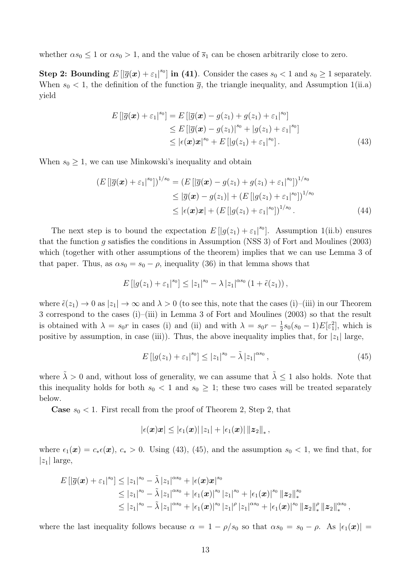whether  $\alpha s_0 \leq 1$  or  $\alpha s_0 > 1$ , and the value of  $\bar{s}_1$  can be chosen arbitrarily close to zero.

Step 2: Bounding  $E\left[\left|\overline{g}(\boldsymbol{x}) + \varepsilon_1\right|^{s_0}\right]$  in (41). Consider the cases  $s_0 < 1$  and  $s_0 \geq 1$  separately. When  $s_0 < 1$ , the definition of the function  $\bar{g}$ , the triangle inequality, and Assumption 1(ii.a) yield

$$
E\left[\left|\overline{g}(\boldsymbol{x}) + \varepsilon_1\right|^{s_0}\right] = E\left[\left|\overline{g}(\boldsymbol{x}) - g(z_1) + g(z_1) + \varepsilon_1\right|^{s_0}\right] \leq E\left[\left|\overline{g}(\boldsymbol{x}) - g(z_1)\right|^{s_0} + \left|g(z_1) + \varepsilon_1\right|^{s_0}\right] \leq \left|\epsilon(\boldsymbol{x})\boldsymbol{x}\right|^{s_0} + E\left[\left|g(z_1) + \varepsilon_1\right|^{s_0}\right].
$$
\n(43)

When  $s_0 \geq 1$ , we can use Minkowski's inequality and obtain

$$
(E\left[|\overline{g}(\boldsymbol{x}) + \varepsilon_1|^{s_0}|\right)^{1/s_0} = (E\left[|\overline{g}(\boldsymbol{x}) - g(z_1) + g(z_1) + \varepsilon_1|^{s_0}|\right)^{1/s_0} \leq |\overline{g}(\boldsymbol{x}) - g(z_1)| + (E\left[|g(z_1) + \varepsilon_1|^{s_0}|\right)^{1/s_0} \leq |\epsilon(\boldsymbol{x})\boldsymbol{x}| + (E\left[|g(z_1) + \varepsilon_1|^{s_0}|\right)^{1/s_0} . \tag{44}
$$

The next step is to bound the expectation  $E[|g(z_1)+\varepsilon_1|^{s_0}]$ . Assumption 1(ii.b) ensures that the function *g* satisfies the conditions in Assumption (NSS 3) of Fort and Moulines (2003) which (together with other assumptions of the theorem) implies that we can use Lemma 3 of that paper. Thus, as  $\alpha s_0 = s_0 - \rho$ , inequality (36) in that lemma shows that

$$
E[|g(z_1)+\varepsilon_1|^{s_0}] \leq |z_1|^{s_0} - \lambda |z_1|^{\alpha s_0} (1+\tilde{\epsilon}(z_1)),
$$

where  $\tilde{\epsilon}(z_1) \to 0$  as  $|z_1| \to \infty$  and  $\lambda > 0$  (to see this, note that the cases (i)–(iii) in our Theorem 3 correspond to the cases (i)–(iii) in Lemma 3 of Fort and Moulines (2003) so that the result is obtained with  $\lambda = s_0 r$  in cases (i) and (ii) and with  $\lambda = s_0 r - \frac{1}{2} s_0 (s_0 - 1) E[\epsilon_1^2]$ , which is positive by assumption, in case (iii)). Thus, the above inequality implies that, for  $|z_1|$  large,

$$
E\left[|g(z_1) + \varepsilon_1|^{s_0}\right] \le |z_1|^{s_0} - \tilde{\lambda}|z_1|^{\alpha s_0},\tag{45}
$$

where  $\tilde{\lambda} > 0$  and, without loss of generality, we can assume that  $\tilde{\lambda} \leq 1$  also holds. Note that this inequality holds for both  $s_0 < 1$  and  $s_0 \geq 1$ ; these two cases will be treated separately below.

**Case**  $s_0 < 1$ . First recall from the proof of Theorem 2, Step 2, that

$$
\left|\epsilon(\boldsymbol{x})\boldsymbol{x}\right|\leq\left|\epsilon_{1}(\boldsymbol{x})\right|\left|z_{1}\right|+\left|\epsilon_{1}(\boldsymbol{x})\right|\left\|\boldsymbol{z}_{2}\right\|_{*},
$$

where  $\epsilon_1(\mathbf{x}) = c_*(\mathbf{x})$ ,  $c_* > 0$ . Using (43), (45), and the assumption  $s_0 < 1$ , we find that, for  $|z_1|$  large,

$$
E\left[\left|\overline{g}(\boldsymbol{x})+\varepsilon_{1}\right|^{s_{0}}\right] \leq |z_{1}|^{s_{0}} - \tilde{\lambda} |z_{1}|^{\alpha s_{0}} + |\epsilon(\boldsymbol{x})\boldsymbol{x}|^{s_{0}} \leq |z_{1}|^{s_{0}} - \tilde{\lambda} |z_{1}|^{\alpha s_{0}} + |\epsilon_{1}(\boldsymbol{x})|^{s_{0}} |z_{1}|^{s_{0}} + |\epsilon_{1}(\boldsymbol{x})|^{s_{0}} \|z_{2}\|_{*}^{s_{0}} \leq |z_{1}|^{s_{0}} - \tilde{\lambda} |z_{1}|^{\alpha s_{0}} + |\epsilon_{1}(\boldsymbol{x})|^{s_{0}} |z_{1}|^{\rho} |z_{1}|^{\alpha s_{0}} + |\epsilon_{1}(\boldsymbol{x})|^{s_{0}} \|z_{2}\|_{*}^{\rho} \|z_{2}\|_{*}^{\alpha s_{0}},
$$

where the last inequality follows because  $\alpha = 1 - \rho/s_0$  so that  $\alpha s_0 = s_0 - \rho$ . As  $|\epsilon_1(\mathbf{x})|$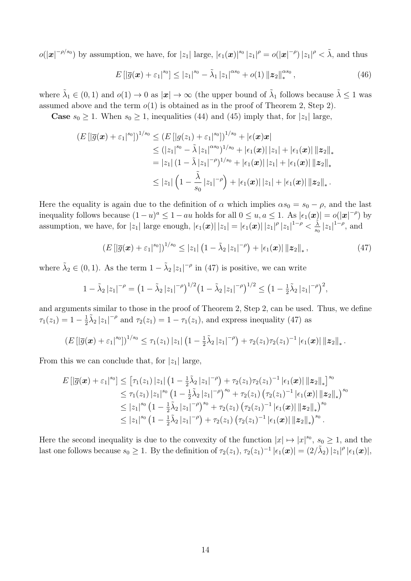$o(|\boldsymbol{x}|^{-\rho/s_0})$  by assumption, we have, for  $|z_1|$  large,  $|\epsilon_1(\boldsymbol{x})|^{s_0} |z_1|^{\rho} = o(|\boldsymbol{x}|^{-\rho}) |z_1|^{\rho} < \tilde{\lambda}$ , and thus

$$
E\left[|\overline{g}(\boldsymbol{x}) + \varepsilon_1|^{s_0}\right] \le |z_1|^{s_0} - \tilde{\lambda}_1 |z_1|^{\alpha s_0} + o(1) \|z_2\|_{*}^{\alpha s_0}, \qquad (46)
$$

where  $\tilde{\lambda}_1 \in (0,1)$  and  $o(1) \to 0$  as  $|\mathbf{x}| \to \infty$  (the upper bound of  $\tilde{\lambda}_1$  follows because  $\tilde{\lambda} \leq 1$  was assumed above and the term  $o(1)$  is obtained as in the proof of Theorem 2, Step 2).

**Case**  $s_0 \geq 1$ . When  $s_0 \geq 1$ , inequalities (44) and (45) imply that, for  $|z_1|$  large,

$$
(E\left[\left|\overline{g}(\boldsymbol{x})+\varepsilon_{1}\right|^{s_{0}}\right])^{1/s_{0}} \leq (E\left[\left|g(z_{1})+\varepsilon_{1}\right|^{s_{0}}\right])^{1/s_{0}} + \left|\epsilon(\boldsymbol{x})\boldsymbol{x}\right|
$$
  
\n
$$
\leq (|z_{1}|^{s_{0}} - \tilde{\lambda}|z_{1}|^{\alpha s_{0}})^{1/s_{0}} + \left|\epsilon_{1}(\boldsymbol{x})\right|\left|z_{1}\right| + \left|\epsilon_{1}(\boldsymbol{x})\right|\left\|z_{2}\right\|_{*}
$$
  
\n
$$
= |z_{1}| \left(1 - \tilde{\lambda}|z_{1}|^{-\rho}\right)^{1/s_{0}} + \left|\epsilon_{1}(\boldsymbol{x})\right|\left|z_{1}\right| + \left|\epsilon_{1}(\boldsymbol{x})\right|\left\|z_{2}\right\|_{*}
$$
  
\n
$$
\leq |z_{1}| \left(1 - \frac{\tilde{\lambda}}{s_{0}}|z_{1}|^{-\rho}\right) + \left|\epsilon_{1}(\boldsymbol{x})\right|\left|z_{1}\right| + \left|\epsilon_{1}(\boldsymbol{x})\right|\left\|z_{2}\right\|_{*}.
$$

Here the equality is again due to the definition of  $\alpha$  which implies  $\alpha s_0 = s_0 - \rho$ , and the last inequality follows because  $(1 - u)^a \leq 1 - au$  holds for all  $0 \leq u, a \leq 1$ . As  $|\epsilon_1(\boldsymbol{x})| = o(|\boldsymbol{x}|^{-\rho})$  by assumption, we have, for  $|z_1|$  large enough,  $|\epsilon_1(\boldsymbol{x})| |z_1| = |\epsilon_1(\boldsymbol{x})| |z_1|^{\rho} |z_1|^{1-\rho} < \frac{\tilde{\lambda}}{s_0} |z_1|^{1-\rho}$ , and

$$
(E\left[|\overline{g}(\boldsymbol{x}) + \varepsilon_1|^{s_0}|\right)^{1/s_0} \leq |z_1| \left(1 - \tilde{\lambda}_2 |z_1|^{-\rho}\right) + |\epsilon_1(\boldsymbol{x})| \|z_2\|_*, \tag{47}
$$

where  $\tilde{\lambda}_2 \in (0,1)$ . As the term  $1 - \tilde{\lambda}_2 |z_1|^{-\rho}$  in (47) is positive, we can write

$$
1 - \tilde{\lambda}_2 |z_1|^{-\rho} = \left(1 - \tilde{\lambda}_2 |z_1|^{-\rho}\right)^{1/2} \left(1 - \tilde{\lambda}_2 |z_1|^{-\rho}\right)^{1/2} \leq \left(1 - \frac{1}{2} \tilde{\lambda}_2 |z_1|^{-\rho}\right)^2,
$$

and arguments similar to those in the proof of Theorem 2, Step 2, can be used. Thus, we define  $\tau_1(z_1) = 1 - \frac{1}{2}\tilde{\lambda}_2 |z_1|^{-\rho}$  and  $\tau_2(z_1) = 1 - \tau_1(z_1)$ , and express inequality (47) as

$$
\left(E\left[\left|\overline{g}(\boldsymbol{x})+\varepsilon_1\right|^{s_0}\right]\right)^{1/s_0} \leq \tau_1(z_1) \left|z_1\right| \left(1-\frac{1}{2}\tilde{\lambda}_2\left|z_1\right|^{-\rho}\right) + \tau_2(z_1) \tau_2(z_1)^{-1} \left|\epsilon_1(\boldsymbol{x})\right| \|z_2\|_*.
$$

From this we can conclude that, for  $|z_1|$  large,

$$
E\left[\left|\overline{g}(\boldsymbol{x})+\varepsilon_{1}\right|^{s_{0}}\right] \leq \left[\tau_{1}(z_{1})\left|z_{1}\right|\left(1-\frac{1}{2}\tilde{\lambda}_{2}\left|z_{1}\right|^{-\rho}\right)+\tau_{2}(z_{1})\tau_{2}(z_{1})^{-1}\left|\epsilon_{1}(\boldsymbol{x})\right|\left\|z_{2}\right\|_{*}\right]^{s_{0}} \\ \leq \tau_{1}(z_{1})\left|z_{1}\right|^{s_{0}}\left(1-\frac{1}{2}\tilde{\lambda}_{2}\left|z_{1}\right|^{-\rho}\right)^{s_{0}}+\tau_{2}(z_{1})\left(\tau_{2}(z_{1})^{-1}\left|\epsilon_{1}(\boldsymbol{x})\right|\left\|z_{2}\right\|_{*}\right)^{s_{0}} \\ \leq \left|z_{1}\right|^{s_{0}}\left(1-\frac{1}{2}\tilde{\lambda}_{2}\left|z_{1}\right|^{-\rho}\right)^{s_{0}}+\tau_{2}(z_{1})\left(\tau_{2}(z_{1})^{-1}\left|\epsilon_{1}(\boldsymbol{x})\right|\left\|z_{2}\right\|_{*}\right)^{s_{0}} \\ \leq \left|z_{1}\right|^{s_{0}}\left(1-\frac{1}{2}\tilde{\lambda}_{2}\left|z_{1}\right|^{-\rho}\right)+\tau_{2}(z_{1})\left(\tau_{2}(z_{1})^{-1}\left|\epsilon_{1}(\boldsymbol{x})\right|\left\|z_{2}\right\|_{*}\right)^{s_{0}}.
$$

Here the second inequality is due to the convexity of the function  $|x| \mapsto |x|^{s_0}$ ,  $s_0 \ge 1$ , and the last one follows because  $s_0 \geq 1$ . By the definition of  $\tau_2(z_1)$ ,  $\tau_2(z_1)^{-1} |\epsilon_1(\boldsymbol{x})| = (2/\tilde{\lambda}_2) |z_1|^{\rho} |\epsilon_1(\boldsymbol{x})|$ ,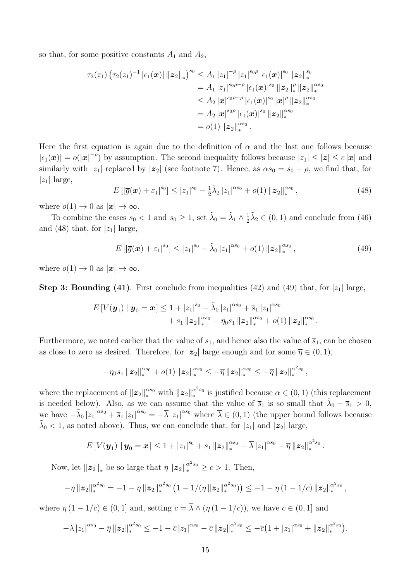so that, for some positive constants  $A_1$  and  $A_2$ ,

$$
\tau_2(z_1) \left( \tau_2(z_1)^{-1} | \epsilon_1(\boldsymbol{x}) | \|\boldsymbol{z}_2\|_{*} \right)^{s_0} \leq A_1 |z_1|^{-\rho} |z_1|^{s_0 \rho} | \epsilon_1(\boldsymbol{x})|^{s_0} \|\boldsymbol{z}_2\|_{*}^{s_0}
$$
  
\n
$$
= A_1 |z_1|^{s_0 \rho - \rho} | \epsilon_1(\boldsymbol{x})|^{s_0} \|\boldsymbol{z}_2\|_{*}^{\rho} \|\boldsymbol{z}_2\|_{*}^{\alpha s_0}
$$
  
\n
$$
\leq A_2 |\boldsymbol{x}|^{s_0 \rho - \rho} | \epsilon_1(\boldsymbol{x})|^{s_0} |\boldsymbol{x}|^{\rho} \|\boldsymbol{z}_2\|_{*}^{\alpha s_0}
$$
  
\n
$$
= A_2 |\boldsymbol{x}|^{s_0 \rho} | \epsilon_1(\boldsymbol{x})|^{s_0} \|\boldsymbol{z}_2\|_{*}^{\alpha s_0}
$$
  
\n
$$
= o(1) \|\boldsymbol{z}_2\|_{*}^{\alpha s_0}.
$$

Here the first equation is again due to the definition of  $\alpha$  and the last one follows because  $|\epsilon_1(\mathbf{x})| = o(|\mathbf{x}|^{-\rho})$  by assumption. The second inequality follows because  $|z_1| \leq |\mathbf{z}| \leq c |\mathbf{x}|$  and similarly with  $|z_1|$  replaced by  $|z_2|$  (see footnote 7). Hence, as  $\alpha s_0 = s_0 - \rho$ , we find that, for  $|z_1|$  large,

$$
E\left[\left|\overline{g}(\boldsymbol{x}) + \varepsilon_1\right|^{s_0}\right] \le |z_1|^{s_0} - \frac{1}{2}\tilde{\lambda}_2\left|z_1\right|^{s_0} + o(1) \|z_2\|_{*}^{s_0},\tag{48}
$$

where  $o(1) \rightarrow 0$  as  $|\mathbf{x}| \rightarrow \infty$ .

To combine the cases  $s_0 < 1$  and  $s_0 \ge 1$ , set  $\tilde{\lambda}_0 = \tilde{\lambda}_1 \wedge \frac{1}{2} \tilde{\lambda}_2 \in (0, 1)$  and conclude from (46) and (48) that, for  $|z_1|$  large,

$$
E\left[\left|\overline{g}(\boldsymbol{x}) + \varepsilon_1\right|^{s_0}\right] \le |z_1|^{s_0} - \tilde{\lambda}_0 |z_1|^{\alpha s_0} + o(1) \|z_2\|_{*}^{\alpha s_0}, \tag{49}
$$

where  $o(1) \rightarrow 0$  as  $|\mathbf{x}| \rightarrow \infty$ .

**Step 3: Bounding (41)**. First conclude from inequalities (42) and (49) that, for  $|z_1|$  large,

$$
E[V(\boldsymbol{y}_1) \mid \boldsymbol{y}_0 = \boldsymbol{x}] \le 1 + |z_1|^{s_0} - \tilde{\lambda}_0 |z_1|^{\alpha s_0} + \overline{s}_1 |z_1|^{\alpha s_0} + s_1 \| \boldsymbol{z}_2\|_{*}^{\alpha s_0} - \eta_0 s_1 \| \boldsymbol{z}_2\|_{*}^{\alpha s_0} + o(1) \| \boldsymbol{z}_2\|_{*}^{\alpha s_0}.
$$

Furthermore, we noted earlier that the value of  $s_1$ , and hence also the value of  $\overline{s}_1$ , can be chosen as close to zero as desired. Therefore, for  $|z_2|$  large enough and for some  $\overline{\eta} \in (0,1)$ ,

$$
-\eta_0 s_1 \|z_2\|_{*}^{\alpha s_0} + o(1) \|z_2\|_{*}^{\alpha s_0} \leq -\overline{\eta} \|z_2\|_{*}^{\alpha s_0} \leq -\overline{\eta} \|z_2\|_{*}^{\alpha^2 s_0},
$$

where the replacement of  $||z_2||_*^{\alpha s_0}$  with  $||z_2||_*^{\alpha^2 s_0}$  is justified because  $\alpha \in (0,1)$  (this replacement is needed below). Also, as we can assume that the value of  $\bar{s}_1$  is so small that  $\tilde{\lambda}_0 - \bar{s}_1 > 0$ , we have  $-\tilde{\lambda}_0 |z_1|^{\alpha s_0} + \overline{s}_1 |z_1|^{\alpha s_0} = -\overline{\lambda} |z_1|^{\alpha s_0}$  where  $\overline{\lambda} \in (0,1)$  (the upper bound follows because  $\lambda_0$  < 1, as noted above). Thus, we can conclude that, for  $|z_1|$  and  $|z_2|$  large,

$$
E[V(\boldsymbol{y}_1) | \boldsymbol{y}_0 = \boldsymbol{x}] \leq 1 + |z_1|^{s_0} + s_1 \|z_2\|_*^{\alpha s_0} - \overline{\lambda} |z_1|^{\alpha s_0} - \overline{\eta} \|z_2\|_*^{\alpha^2 s_0}.
$$

Now, let  $||z_2||_*$  be so large that  $\overline{\eta} ||z_2||_*^{\alpha^2 s_0} \ge c > 1$ . Then,

$$
-\overline{\eta}\left\| \boldsymbol{z}_{2}\right\|_{*}^{\alpha^{2} s_{0}} = -1 - \overline{\eta}\left\| \boldsymbol{z}_{2}\right\|_{*}^{\alpha^{2} s_{0}} \left(1 - 1/(\overline{\eta}\left\| \boldsymbol{z}_{2}\right\|_{*}^{\alpha^{2} s_{0}})\right) \leq -1 - \overline{\eta}\left(1 - 1/c\right) \left\| \boldsymbol{z}_{2}\right\|_{*}^{\alpha^{2} s_{0}},
$$

where  $\overline{\eta}(1 - 1/c) \in (0, 1]$  and, setting  $\overline{c} = \overline{\lambda} \wedge (\overline{\eta}(1 - 1/c))$ , we have  $\overline{c} \in (0, 1]$  and

$$
-\overline{\lambda}|z_1|^{\alpha s_0}-\overline{\eta}\,\|{\bm{z}}_2\|_\ast^{\alpha^2s_0}\leq -1-\overline{c}\,|z_1|^{\alpha s_0}-\overline{c}\,\|{\bm{z}}_2\|_\ast^{\alpha^2s_0}\leq -\overline{c}\big(1+|z_1|^{\alpha s_0}+\|{\bm{z}}_2\|_\ast^{\alpha^2s_0}\big).
$$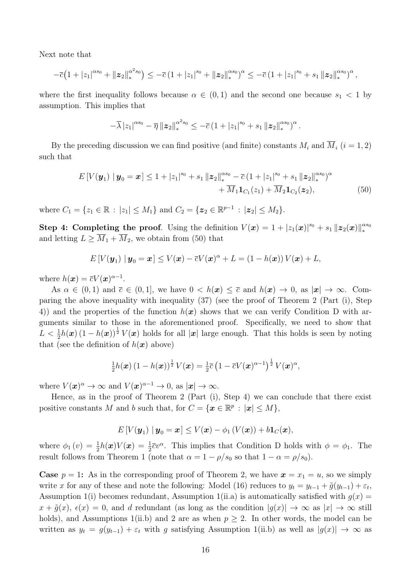Next note that

$$
-\overline{c}\left(1+|z_1|^{\alpha s_0}+\|z_2\|_{*}^{\alpha^2 s_0}\right)\leq -\overline{c}\left(1+|z_1|^{s_0}+\|z_2\|_{*}^{\alpha s_0}\right)^{\alpha}\leq -\overline{c}\left(1+|z_1|^{s_0}+s_1\|z_2\|_{*}^{\alpha s_0}\right)^{\alpha},
$$

where the first inequality follows because  $\alpha \in (0,1)$  and the second one because  $s_1 < 1$  by assumption. This implies that

$$
-\overline{\lambda}|z_1|^{\alpha s_0}-\overline{\eta}|z_2\|_{*}^{\alpha^2 s_0}\leq -\overline{c}(1+|z_1|^{s_0}+s_1|z_2\|_{*}^{\alpha s_0})^{\alpha}.
$$

By the preceding discussion we can find positive (and finite) constants  $M_i$  and  $\overline{M}_i$  ( $i = 1, 2$ ) such that

$$
E[V(\mathbf{y}_1) \mid \mathbf{y}_0 = \mathbf{x}] \le 1 + |z_1|^{s_0} + s_1 \|z_2\|_{*}^{\alpha s_0} - \overline{c} (1 + |z_1|^{s_0} + s_1 \|z_2\|_{*}^{\alpha s_0})^{\alpha} + \overline{M}_1 \mathbf{1}_{C_1}(z_1) + \overline{M}_2 \mathbf{1}_{C_2}(\mathbf{z}_2),
$$
\n
$$
(50)
$$

where  $C_1 = \{z_1 \in \mathbb{R} : |z_1| \leq M_1\}$  and  $C_2 = \{z_2 \in \mathbb{R}^{p-1} : |z_2| \leq M_2\}$ .

Step 4: Completing the proof. Using the definition  $V(x) = 1 + |z_1(x)|^{s_0} + s_1 ||z_2(x)||_*^{s_0}$ and letting  $L \geq \overline{M}_1 + \overline{M}_2$ , we obtain from (50) that

$$
E[V(\boldsymbol{y}_1) | \boldsymbol{y}_0 = \boldsymbol{x}] \leq V(\boldsymbol{x}) - \overline{c}V(\boldsymbol{x})^{\alpha} + L = (1 - h(\boldsymbol{x}))V(\boldsymbol{x}) + L,
$$

where  $h(\boldsymbol{x}) = \overline{c}V(\boldsymbol{x})^{\alpha-1}$ .

As  $\alpha \in (0,1)$  and  $\bar{c} \in (0,1]$ , we have  $0 < h(x) \leq \bar{c}$  and  $h(x) \to 0$ , as  $|x| \to \infty$ . Comparing the above inequality with inequality (37) (see the proof of Theorem 2 (Part (i), Step 4)) and the properties of the function  $h(x)$  shows that we can verify Condition D with arguments similar to those in the aforementioned proof. Specifically, we need to show that  $L < \frac{1}{2}h(\boldsymbol{x}) (1 - h(\boldsymbol{x}))^{\frac{1}{2}} V(\boldsymbol{x})$  holds for all  $|\boldsymbol{x}|$  large enough. That this holds is seen by noting that (see the definition of  $h(x)$  above)

$$
\frac{1}{2}h(\boldsymbol{x})\left(1-h(\boldsymbol{x})\right)^{\frac{1}{2}}V(\boldsymbol{x})=\frac{1}{2}\overline{c}\left(1-\overline{c}V(\boldsymbol{x})^{\alpha-1}\right)^{\frac{1}{2}}V(\boldsymbol{x})^{\alpha},
$$

where  $V(\mathbf{x})^{\alpha} \to \infty$  and  $V(\mathbf{x})^{\alpha-1} \to 0$ , as  $|\mathbf{x}| \to \infty$ .

Hence, as in the proof of Theorem 2 (Part (i), Step 4) we can conclude that there exist positive constants *M* and *b* such that, for  $C = {\mathbf{x} \in \mathbb{R}^p : |\mathbf{x}| \le M}$ ,

$$
E[V(\boldsymbol{y}_1) | \boldsymbol{y}_0 = \boldsymbol{x}] \leq V(\boldsymbol{x}) - \phi_1(V(\boldsymbol{x})) + b\mathbf{1}_C(\boldsymbol{x}),
$$

where  $\phi_1(v) = \frac{1}{2}h(x)V(x) = \frac{1}{2}\overline{c}v^{\alpha}$ . This implies that Condition D holds with  $\phi = \phi_1$ . The result follows from Theorem 1 (note that  $\alpha = 1 - \rho/s_0$  so that  $1 - \alpha = \rho/s_0$ ).

**Case**  $p = 1$ : As in the corresponding proof of Theorem 2, we have  $x = x_1 = u$ , so we simply write *x* for any of these and note the following: Model (16) reduces to  $y_t = y_{t-1} + \tilde{g}(y_{t-1}) + \varepsilon_t$ , Assumption 1(i) becomes redundant, Assumption 1(ii.a) is automatically satisfied with  $q(x)$  $x + \tilde{g}(x)$ ,  $\epsilon(x) = 0$ , and *d* redundant (as long as the condition  $|g(x)| \to \infty$  as  $|x| \to \infty$  still holds), and Assumptions 1(ii.b) and 2 are as when  $p \geq 2$ . In other words, the model can be written as  $y_t = g(y_{t-1}) + \varepsilon_t$  with *g* satisfying Assumption 1(ii.b) as well as  $|g(x)| \to \infty$  as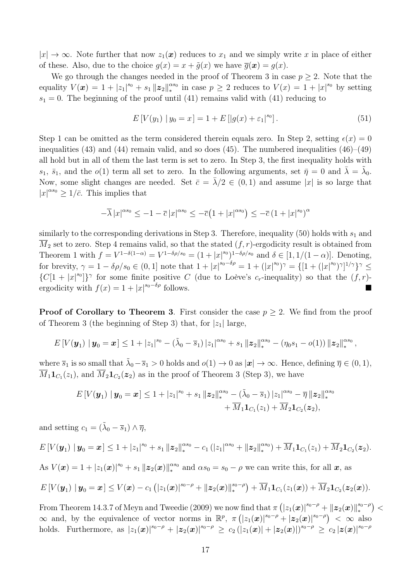$|x| \to \infty$ . Note further that now  $z_1(x)$  reduces to  $x_1$  and we simply write *x* in place of either of these. Also, due to the choice  $g(x) = x + \tilde{g}(x)$  we have  $\overline{g}(x) = g(x)$ .

We go through the changes needed in the proof of Theorem 3 in case  $p \geq 2$ . Note that the equality  $V(x) = 1 + |z_1|^{s_0} + s_1 ||z_2||_*^{s_0}$  in case  $p \geq 2$  reduces to  $V(x) = 1 + |x|^{s_0}$  by setting  $s_1 = 0$ . The beginning of the proof until (41) remains valid with (41) reducing to

$$
E[V(y_1) | y_0 = x] = 1 + E[|g(x) + \varepsilon_1|^{s_0}].
$$
\n(51)

Step 1 can be omitted as the term considered therein equals zero. In Step 2, setting  $\epsilon(x)=0$ inequalities (43) and (44) remain valid, and so does (45). The numbered inequalities (46)–(49) all hold but in all of them the last term is set to zero. In Step 3, the first inequality holds with  $s_1, \bar{s}_1$ , and the  $o(1)$  term all set to zero. In the following arguments, set  $\bar{\eta} = 0$  and  $\bar{\lambda} = \lambda_0$ . Now, some slight changes are needed. Set  $\bar{c} = \bar{\lambda}/2 \in (0,1)$  and assume  $|x|$  is so large that  $|x|^{\alpha s_0} \geq 1/\bar{c}$ . This implies that

$$
-\overline{\lambda}|x|^{\alpha s_0} \leq -1 - \overline{c}|x|^{\alpha s_0} \leq -\overline{c}\left(1+|x|^{\alpha s_0}\right) \leq -\overline{c}\left(1+|x|^{s_0}\right)^{\alpha}
$$

similarly to the corresponding derivations in Step 3. Therefore, inequality (50) holds with  $s_1$  and  $M_2$  set to zero. Step 4 remains valid, so that the stated  $(f, r)$ -ergodicity result is obtained from Theorem 1 with  $f = V^{1-\delta(1-\alpha)} = V^{1-\delta\rho/s_0} = (1+|x|^{s_0})^{1-\delta\rho/s_0}$  and  $\delta \in [1,1/(1-\alpha)]$ . Denoting, for brevity,  $\gamma = 1 - \delta \rho / s_0 \in (0, 1]$  note that  $1 + |x|^{s_0 - \delta \rho} = 1 + (|x|^{s_0})^{\gamma} = \{[1 + (|x|^{s_0})^{\gamma}]^{1/\gamma}\}^{\gamma} \leq$  ${C[1 + |x|^{s_0}]}\gamma$  for some finite positive *C* (due to Loève's *c*<sub>*r*</sub>-inequality) so that the  $(f, r)$ ergodicity with  $f(x) = 1 + |x|^{s_0-\delta\rho}$  follows.

**Proof of Corollary to Theorem 3.** First consider the case  $p \geq 2$ . We find from the proof of Theorem 3 (the beginning of Step 3) that, for  $|z_1|$  large,

$$
E\left[V(\boldsymbol{y}_1)\mid \boldsymbol{y}_0=\boldsymbol{x}\right]\leq 1+|z_1|^{s_0}-\left(\tilde{\lambda}_0-\overline{s}_1\right)|z_1|^{\alpha s_0}+s_1\left\|\boldsymbol{z}_2\right\|_{*}^{\alpha s_0}-\left(\eta_0s_1-o(1)\right)\left\|\boldsymbol{z}_2\right\|_{*}^{\alpha s_0},
$$

where  $\bar{s}_1$  is so small that  $\tilde{\lambda}_0 - \bar{s}_1 > 0$  holds and  $o(1) \to 0$  as  $|\mathbf{x}| \to \infty$ . Hence, defining  $\bar{\eta} \in (0,1)$ ,  $\overline{M}_1 \mathbf{1}_{C_1}(z_1)$ , and  $\overline{M}_2 \mathbf{1}_{C_2}(z_2)$  as in the proof of Theorem 3 (Step 3), we have

$$
E\left[V(\boldsymbol{y}_1) \mid \boldsymbol{y}_0 = \boldsymbol{x}\right] \leq 1 + |z_1|^{s_0} + s_1 \left\|\boldsymbol{z}_2\right\|_{*}^{\alpha s_0} - \left(\tilde{\lambda}_0 - \overline{s}_1\right) |z_1|^{\alpha s_0} - \overline{\eta} \left\|\boldsymbol{z}_2\right\|_{*}^{\alpha s_0} + \overline{M}_1 \mathbf{1}_{C_1}(z_1) + \overline{M}_2 \mathbf{1}_{C_2}(\boldsymbol{z}_2),
$$

and setting  $c_1 = (\tilde{\lambda}_0 - \bar{s}_1) \wedge \bar{\eta}$ ,

$$
E[V(\mathbf{y}_1) \mid \mathbf{y}_0 = \mathbf{x}] \le 1 + |z_1|^{s_0} + s_1 \|z_2\|_{*}^{\alpha s_0} - c_1 (|z_1|^{\alpha s_0} + \|z_2\|_{*}^{\alpha s_0}) + \overline{M}_1 \mathbf{1}_{C_1}(z_1) + \overline{M}_2 \mathbf{1}_{C_2}(z_2).
$$

As  $V(\mathbf{x}) = 1 + |z_1(\mathbf{x})|^{s_0} + s_1 ||z_2(\mathbf{x})||_*^{s_0}$  and  $\alpha s_0 = s_0 - \rho$  we can write this, for all  $\mathbf{x}$ , as

$$
E[V(\mathbf{y}_1) \mid \mathbf{y}_0 = \mathbf{x}] \leq V(\mathbf{x}) - c_1 (|z_1(\mathbf{x})|^{s_0 - \rho} + ||\mathbf{z}_2(\mathbf{x})||_*^{s_0 - \rho}) + \overline{M}_1 \mathbf{1}_{C_1}(z_1(\mathbf{x})) + \overline{M}_2 \mathbf{1}_{C_2}(\mathbf{z}_2(\mathbf{x})).
$$

From Theorem 14.3.7 of Meyn and Tweedie (2009) we now find that  $\pi \left( |z_1(\bm{x})|^{s_0-\rho} + \|\bm{z}_2(\bm{x})\|_*^{s_0-\rho} \right) <$  $\infty$  and, by the equivalence of vector norms in  $\mathbb{R}^p$ ,  $\pi(|z_1(\bm{x})|^{s_0-\rho} + |z_2(\bm{x})|^{s_0-\rho}) < \infty$  also holds. Furthermore, as  $|z_1(x)|^{s_0-\rho} + |z_2(x)|^{s_0-\rho} \ge c_2 (|z_1(x)| + |z_2(x)|)^{s_0-\rho} \ge c_2 |z(x)|^{s_0-\rho}$